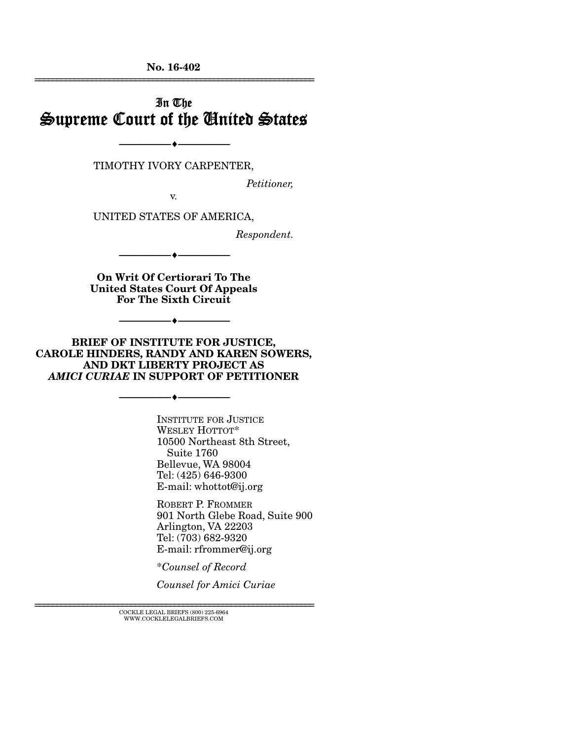No. 16-402 ================================================================

## In The Supreme Court of the United States

TIMOTHY IVORY CARPENTER,

--------------------------------- ---------------------------------

*Petitioner,* 

v.

UNITED STATES OF AMERICA,

*Respondent.* 

On Writ Of Certiorari To The United States Court Of Appeals For The Sixth Circuit

--------------------------------- ---------------------------------

--------------------------------- ---------------------------------

BRIEF OF INSTITUTE FOR JUSTICE, CAROLE HINDERS, RANDY AND KAREN SOWERS, AND DKT LIBERTY PROJECT AS *AMICI CURIAE* IN SUPPORT OF PETITIONER

--------------------------------- ---------------------------------

INSTITUTE FOR JUSTICE WESLEY HOTTOT\* 10500 Northeast 8th Street, Suite 1760 Bellevue, WA 98004 Tel: (425) 646-9300 E-mail: whottot@ij.org

ROBERT P. FROMMER 901 North Glebe Road, Suite 900 Arlington, VA 22203 Tel: (703) 682-9320 E-mail: rfrommer@ij.org

\**Counsel of Record* 

*Counsel for Amici Curiae*

 ${\rm COCKLE}$ LEGAL BRIEFS (800) 225-6964 WWW.COCKLELEGALBRIEFS.COM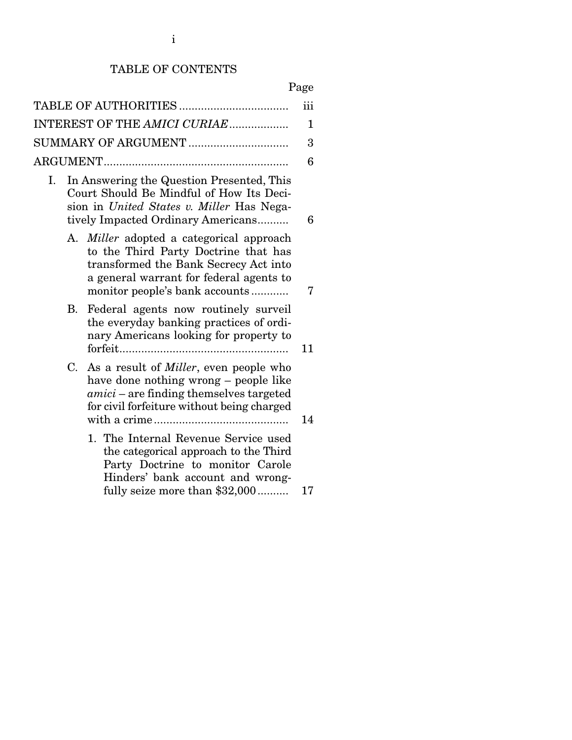## TABLE OF CONTENTS

| iii |                              |                                                                                                                                                                                                            |    |
|-----|------------------------------|------------------------------------------------------------------------------------------------------------------------------------------------------------------------------------------------------------|----|
|     | INTEREST OF THE AMICI CURIAE |                                                                                                                                                                                                            |    |
|     |                              | SUMMARY OF ARGUMENT                                                                                                                                                                                        | 3  |
|     |                              |                                                                                                                                                                                                            | 6  |
| Ι.  |                              | In Answering the Question Presented, This<br>Court Should Be Mindful of How Its Deci-<br>sion in United States v. Miller Has Nega-<br>tively Impacted Ordinary Americans                                   | 6  |
|     | А.                           | <i>Miller</i> adopted a categorical approach<br>to the Third Party Doctrine that has<br>transformed the Bank Secrecy Act into<br>a general warrant for federal agents to<br>monitor people's bank accounts | 7  |
|     | В.                           | Federal agents now routinely surveil<br>the everyday banking practices of ordi-<br>nary Americans looking for property to                                                                                  | 11 |
|     | C.                           | As a result of <i>Miller</i> , even people who<br>have done nothing wrong – people like<br>amici – are finding themselves targeted<br>for civil forfeiture without being charged                           | 14 |
|     |                              | 1. The Internal Revenue Service used<br>the categorical approach to the Third<br>Party Doctrine to monitor Carole<br>Hinders' bank account and wrong-<br>fully seize more than \$32,000                    | 17 |
|     |                              |                                                                                                                                                                                                            |    |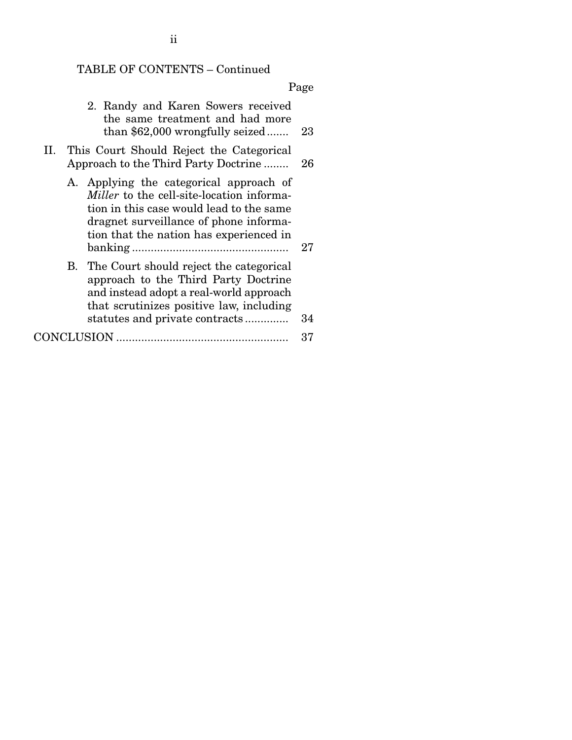# TABLE OF CONTENTS – Continued

| 2. Randy and Karen Sowers received<br>the same treatment and had more<br>than $$62,000$ wrongfully seized                                                                                                                    | 23 |
|------------------------------------------------------------------------------------------------------------------------------------------------------------------------------------------------------------------------------|----|
| II. This Court Should Reject the Categorical<br>Approach to the Third Party Doctrine                                                                                                                                         | 26 |
| A. Applying the categorical approach of<br><i>Miller</i> to the cell-site-location informa-<br>tion in this case would lead to the same<br>dragnet surveillance of phone informa-<br>tion that the nation has experienced in | 27 |
| B. The Court should reject the categorical<br>approach to the Third Party Doctrine<br>and instead adopt a real-world approach<br>that scrutinizes positive law, including<br>statutes and private contracts                  | 34 |
|                                                                                                                                                                                                                              | 37 |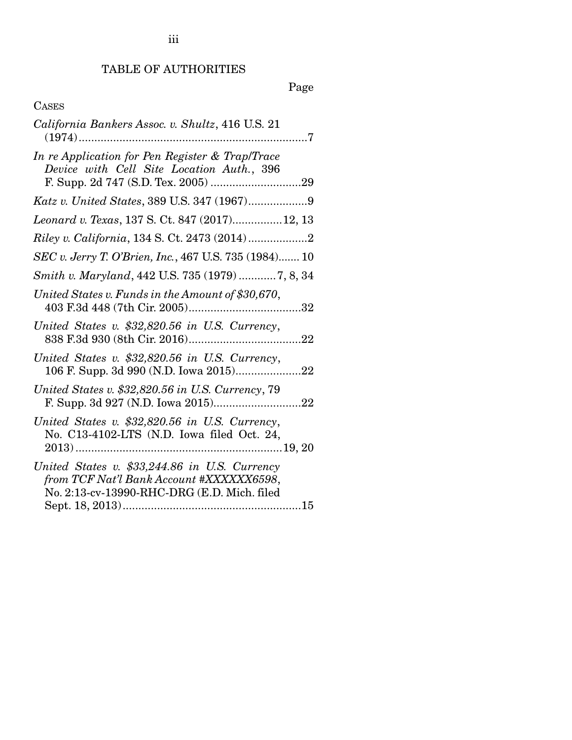## TABLE OF AUTHORITIES

# Page

## CASES

| California Bankers Assoc. v. Shultz, 416 U.S. 21<br>. 7                                                                                  |
|------------------------------------------------------------------------------------------------------------------------------------------|
| In re Application for Pen Register & Trap/Trace<br>Device with Cell Site Location Auth., 396                                             |
|                                                                                                                                          |
| Leonard v. Texas, 137 S. Ct. 847 (2017)12, 13                                                                                            |
|                                                                                                                                          |
| SEC v. Jerry T. O'Brien, Inc., 467 U.S. 735 (1984) 10                                                                                    |
| Smith v. Maryland, 442 U.S. 735 (1979)  7, 8, 34                                                                                         |
| United States v. Funds in the Amount of \$30,670,<br>32                                                                                  |
| United States v. \$32,820.56 in U.S. Currency,                                                                                           |
| United States v. \$32,820.56 in U.S. Currency,                                                                                           |
| United States v. \$32,820.56 in U.S. Currency, 79                                                                                        |
| United States v. \$32,820.56 in U.S. Currency,<br>No. C13-4102-LTS (N.D. Iowa filed Oct. 24,                                             |
| United States v. \$33,244.86 in U.S. Currency<br>from TCF Nat'l Bank Account #XXXXXX6598,<br>No. 2:13-cv-13990-RHC-DRG (E.D. Mich. filed |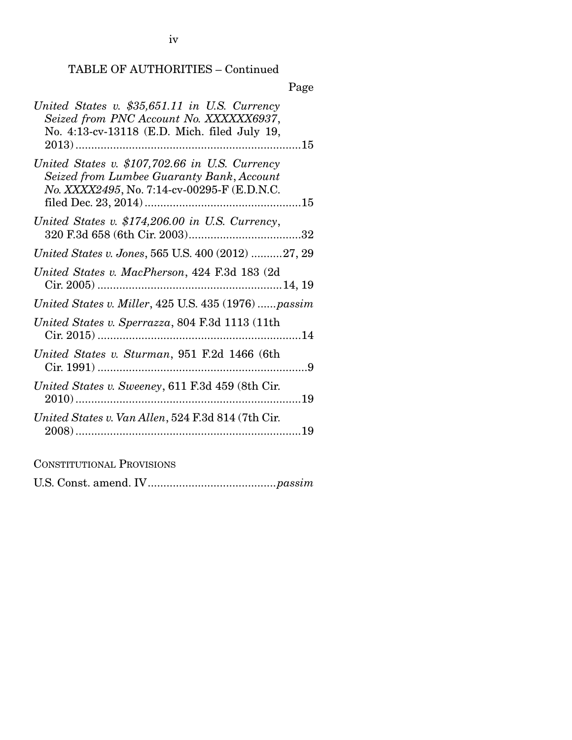### TABLE OF AUTHORITIES – Continued

### Page

CONSTITUTIONAL PROVISIONS

U.S. Const. amend. IV ......................................... *passim*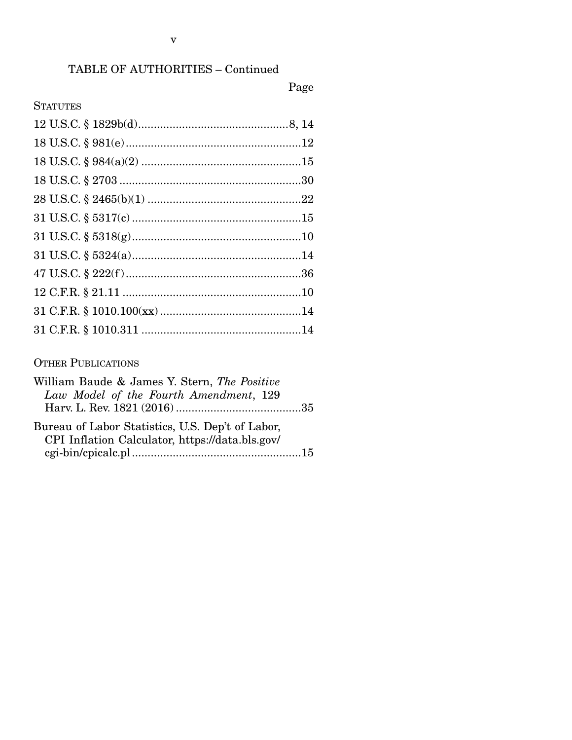# TABLE OF AUTHORITIES – Continued

## Page

## **STATUTES**

### OTHER PUBLICATIONS

| William Baude & James Y. Stern, The Positive     |  |
|--------------------------------------------------|--|
| Law Model of the Fourth Amendment, 129           |  |
|                                                  |  |
| Bureau of Labor Statistics, U.S. Dep't of Labor, |  |
| CPI Inflation Calculator, https://data.bls.gov/  |  |
|                                                  |  |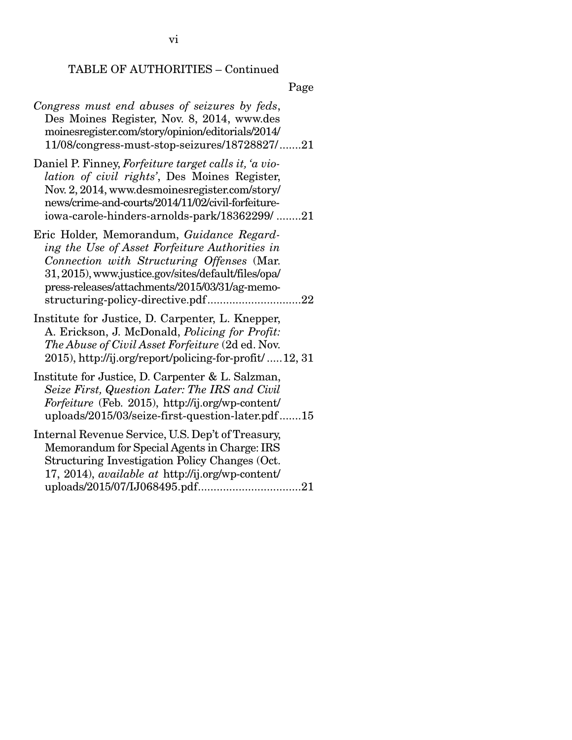## TABLE OF AUTHORITIES – Continued

| Congress must end abuses of seizures by feds,<br>Des Moines Register, Nov. 8, 2014, www.des<br>moinesregister.com/story/opinion/editorials/2014/<br>11/08/congress-must-stop-seizures/18728827/21                                                                                        |
|------------------------------------------------------------------------------------------------------------------------------------------------------------------------------------------------------------------------------------------------------------------------------------------|
| Daniel P. Finney, Forfeiture target calls it, 'a vio-<br>lation of civil rights', Des Moines Register,<br>Nov. 2, 2014, www.desmoinesregister.com/story/<br>news/crime-and-courts/2014/11/02/civil-forfeiture-<br>iowa-carole-hinders-arnolds-park/18362299/21                           |
| Eric Holder, Memorandum, Guidance Regard-<br>ing the Use of Asset Forfeiture Authorities in<br>Connection with Structuring Offenses (Mar.<br>31, 2015), www.justice.gov/sites/default/files/opa/<br>press-releases/attachments/2015/03/31/ag-memo-<br>structuring-policy-directive.pdf22 |
| Institute for Justice, D. Carpenter, L. Knepper,<br>A. Erickson, J. McDonald, Policing for Profit:<br>The Abuse of Civil Asset Forfeiture (2d ed. Nov.<br>2015), http://ij.org/report/policing-for-profit/ 12, 31                                                                        |
| Institute for Justice, D. Carpenter & L. Salzman,<br>Seize First, Question Later: The IRS and Civil<br>Forfeiture (Feb. 2015), http://ij.org/wp-content/<br>uploads/2015/03/seize-first-question-later.pdf15                                                                             |
| Internal Revenue Service, U.S. Dep't of Treasury,<br>Memorandum for Special Agents in Charge: IRS<br>Structuring Investigation Policy Changes (Oct.<br>17, 2014), <i>available at http://ij.org/wp-content/</i>                                                                          |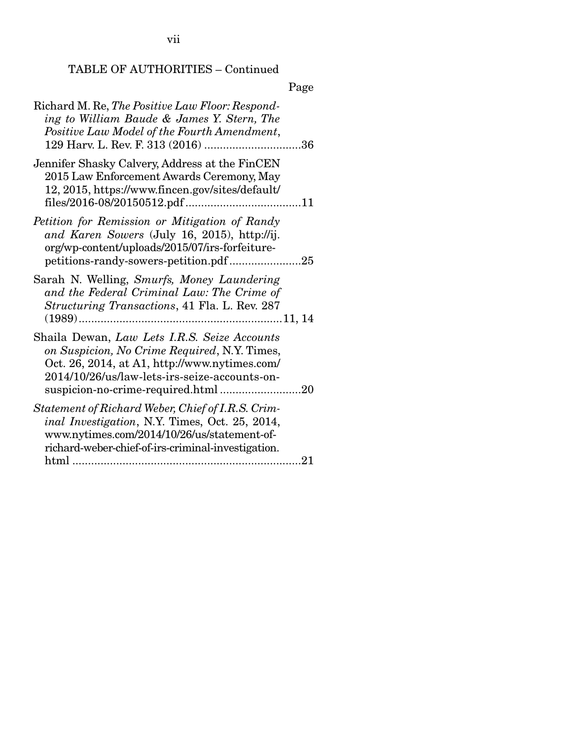vii

## TABLE OF AUTHORITIES – Continued

| Richard M. Re, The Positive Law Floor: Respond-<br>ing to William Baude & James Y. Stern, The<br>Positive Law Model of the Fourth Amendment,                                                             |
|----------------------------------------------------------------------------------------------------------------------------------------------------------------------------------------------------------|
| Jennifer Shasky Calvery, Address at the FinCEN<br>2015 Law Enforcement Awards Ceremony, May<br>12, 2015, https://www.fincen.gov/sites/default/                                                           |
| Petition for Remission or Mitigation of Randy<br>and Karen Sowers (July 16, 2015), http://ij.<br>org/wp-content/uploads/2015/07/irs-forfeiture-<br>petitions-randy-sowers-petition.pdf25                 |
| Sarah N. Welling, Smurfs, Money Laundering<br>and the Federal Criminal Law: The Crime of<br>Structuring Transactions, 41 Fla. L. Rev. 287                                                                |
| Shaila Dewan, Law Lets I.R.S. Seize Accounts<br>on Suspicion, No Crime Required, N.Y. Times,<br>Oct. 26, 2014, at A1, http://www.nytimes.com/<br>2014/10/26/us/law-lets-irs-seize-accounts-on-           |
| Statement of Richard Weber, Chief of I.R.S. Crim-<br>inal Investigation, N.Y. Times, Oct. 25, 2014,<br>www.nytimes.com/2014/10/26/us/statement-of-<br>richard-weber-chief-of-irs-criminal-investigation. |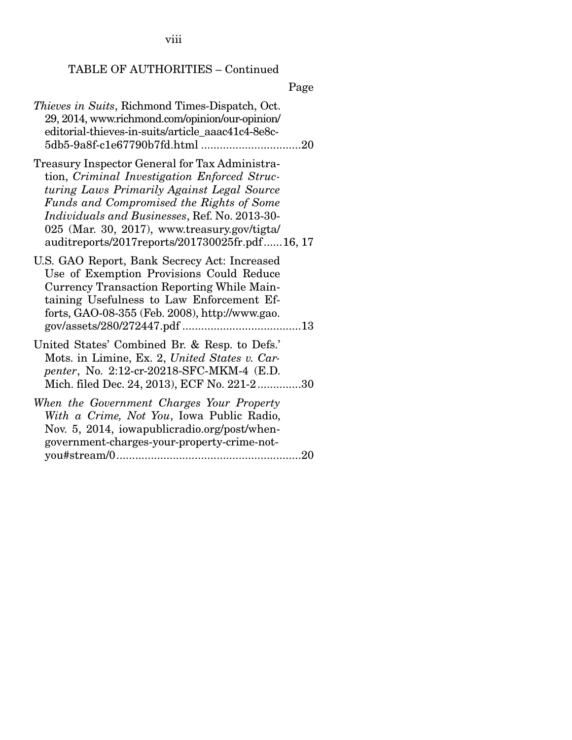viii

## TABLE OF AUTHORITIES – Continued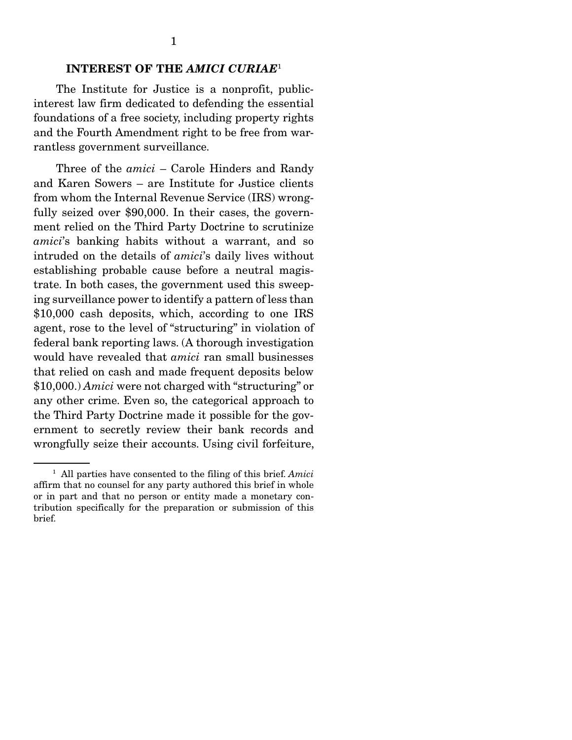#### INTEREST OF THE *AMICI CURIAE*<sup>1</sup>

 The Institute for Justice is a nonprofit, publicinterest law firm dedicated to defending the essential foundations of a free society, including property rights and the Fourth Amendment right to be free from warrantless government surveillance.

 Three of the *amici* – Carole Hinders and Randy and Karen Sowers – are Institute for Justice clients from whom the Internal Revenue Service (IRS) wrongfully seized over \$90,000. In their cases, the government relied on the Third Party Doctrine to scrutinize *amici*'s banking habits without a warrant, and so intruded on the details of *amici*'s daily lives without establishing probable cause before a neutral magistrate. In both cases, the government used this sweeping surveillance power to identify a pattern of less than \$10,000 cash deposits, which, according to one IRS agent, rose to the level of "structuring" in violation of federal bank reporting laws. (A thorough investigation would have revealed that *amici* ran small businesses that relied on cash and made frequent deposits below \$10,000.) *Amici* were not charged with "structuring" or any other crime. Even so, the categorical approach to the Third Party Doctrine made it possible for the government to secretly review their bank records and wrongfully seize their accounts. Using civil forfeiture,

<sup>1</sup> All parties have consented to the filing of this brief. *Amici* affirm that no counsel for any party authored this brief in whole or in part and that no person or entity made a monetary contribution specifically for the preparation or submission of this brief.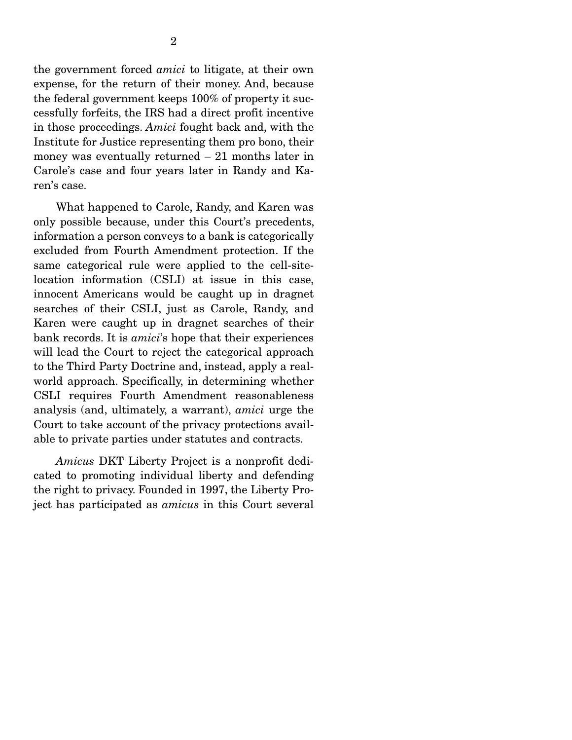the government forced *amici* to litigate, at their own expense, for the return of their money. And, because the federal government keeps 100% of property it successfully forfeits, the IRS had a direct profit incentive in those proceedings. *Amici* fought back and, with the Institute for Justice representing them pro bono, their money was eventually returned – 21 months later in Carole's case and four years later in Randy and Karen's case.

What happened to Carole, Randy, and Karen was only possible because, under this Court's precedents, information a person conveys to a bank is categorically excluded from Fourth Amendment protection. If the same categorical rule were applied to the cell-sitelocation information (CSLI) at issue in this case, innocent Americans would be caught up in dragnet searches of their CSLI, just as Carole, Randy, and Karen were caught up in dragnet searches of their bank records. It is *amici*'s hope that their experiences will lead the Court to reject the categorical approach to the Third Party Doctrine and, instead, apply a realworld approach. Specifically, in determining whether CSLI requires Fourth Amendment reasonableness analysis (and, ultimately, a warrant), *amici* urge the Court to take account of the privacy protections available to private parties under statutes and contracts.

*Amicus* DKT Liberty Project is a nonprofit dedicated to promoting individual liberty and defending the right to privacy. Founded in 1997, the Liberty Project has participated as *amicus* in this Court several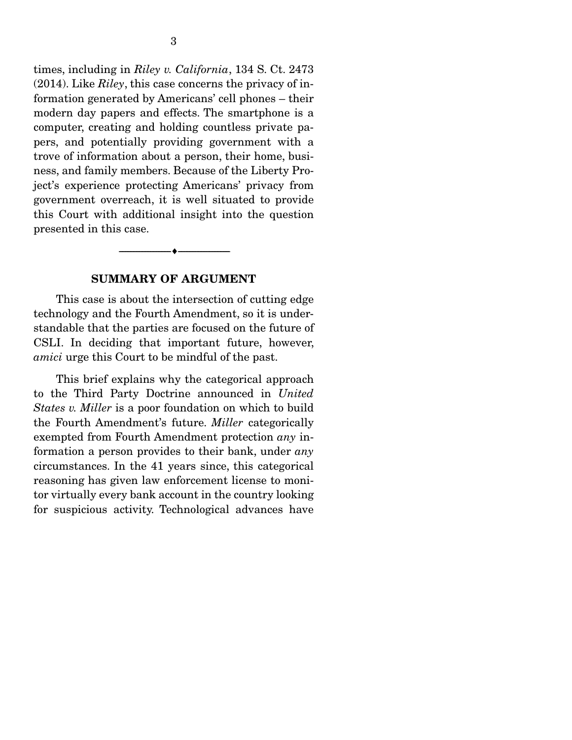times, including in *Riley v. California*, 134 S. Ct. 2473 (2014). Like *Riley*, this case concerns the privacy of information generated by Americans' cell phones – their modern day papers and effects. The smartphone is a computer, creating and holding countless private papers, and potentially providing government with a trove of information about a person, their home, business, and family members. Because of the Liberty Project's experience protecting Americans' privacy from government overreach, it is well situated to provide this Court with additional insight into the question presented in this case.

#### SUMMARY OF ARGUMENT

--------------------------------- ---------------------------------

 This case is about the intersection of cutting edge technology and the Fourth Amendment, so it is understandable that the parties are focused on the future of CSLI. In deciding that important future, however, *amici* urge this Court to be mindful of the past.

 This brief explains why the categorical approach to the Third Party Doctrine announced in *United States v. Miller* is a poor foundation on which to build the Fourth Amendment's future. *Miller* categorically exempted from Fourth Amendment protection *any* information a person provides to their bank, under *any*  circumstances. In the 41 years since, this categorical reasoning has given law enforcement license to monitor virtually every bank account in the country looking for suspicious activity. Technological advances have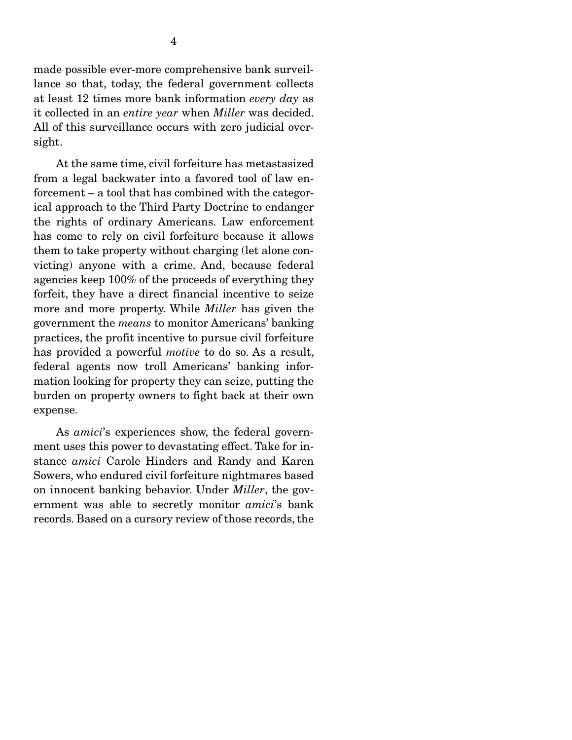At the same time, civil forfeiture has metastasized from a legal backwater into a favored tool of law enforcement – a tool that has combined with the categorical approach to the Third Party Doctrine to endanger the rights of ordinary Americans. Law enforcement has come to rely on civil forfeiture because it allows them to take property without charging (let alone convicting) anyone with a crime. And, because federal agencies keep 100% of the proceeds of everything they forfeit, they have a direct financial incentive to seize more and more property. While *Miller* has given the government the *means* to monitor Americans' banking practices, the profit incentive to pursue civil forfeiture has provided a powerful *motive* to do so. As a result, federal agents now troll Americans' banking information looking for property they can seize, putting the burden on property owners to fight back at their own expense.

 As *amici*'s experiences show, the federal government uses this power to devastating effect. Take for instance *amici* Carole Hinders and Randy and Karen Sowers, who endured civil forfeiture nightmares based on innocent banking behavior. Under *Miller*, the government was able to secretly monitor *amici*'s bank records. Based on a cursory review of those records, the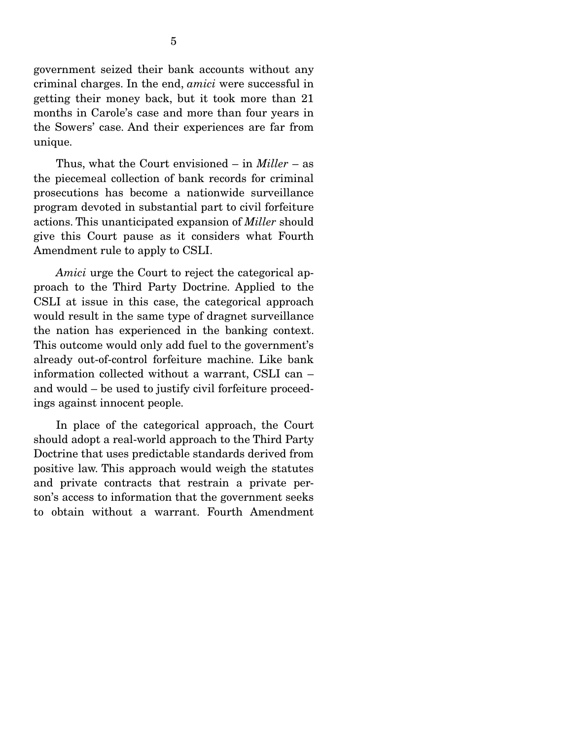government seized their bank accounts without any criminal charges. In the end, *amici* were successful in getting their money back, but it took more than 21 months in Carole's case and more than four years in the Sowers' case. And their experiences are far from unique.

 Thus, what the Court envisioned – in *Miller* – as the piecemeal collection of bank records for criminal prosecutions has become a nationwide surveillance program devoted in substantial part to civil forfeiture actions. This unanticipated expansion of *Miller* should give this Court pause as it considers what Fourth Amendment rule to apply to CSLI.

*Amici* urge the Court to reject the categorical approach to the Third Party Doctrine. Applied to the CSLI at issue in this case, the categorical approach would result in the same type of dragnet surveillance the nation has experienced in the banking context. This outcome would only add fuel to the government's already out-of-control forfeiture machine. Like bank information collected without a warrant, CSLI can – and would – be used to justify civil forfeiture proceedings against innocent people.

 In place of the categorical approach, the Court should adopt a real-world approach to the Third Party Doctrine that uses predictable standards derived from positive law. This approach would weigh the statutes and private contracts that restrain a private person's access to information that the government seeks to obtain without a warrant. Fourth Amendment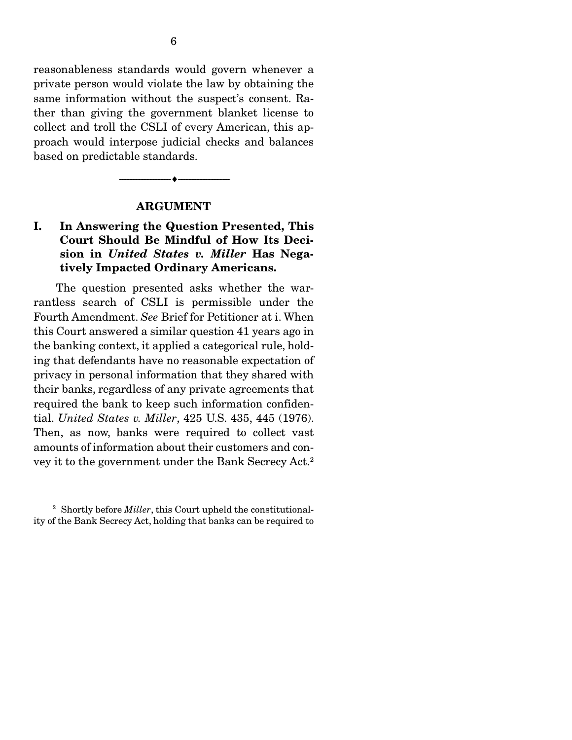reasonableness standards would govern whenever a private person would violate the law by obtaining the same information without the suspect's consent. Rather than giving the government blanket license to collect and troll the CSLI of every American, this approach would interpose judicial checks and balances based on predictable standards.

#### ARGUMENT

--------------------------------- ---------------------------------

#### I. In Answering the Question Presented, This Court Should Be Mindful of How Its Decision in *United States v. Miller* Has Negatively Impacted Ordinary Americans.

 The question presented asks whether the warrantless search of CSLI is permissible under the Fourth Amendment. *See* Brief for Petitioner at i. When this Court answered a similar question 41 years ago in the banking context, it applied a categorical rule, holding that defendants have no reasonable expectation of privacy in personal information that they shared with their banks, regardless of any private agreements that required the bank to keep such information confidential. *United States v. Miller*, 425 U.S. 435, 445 (1976). Then, as now, banks were required to collect vast amounts of information about their customers and convey it to the government under the Bank Secrecy Act.2

<sup>2</sup> Shortly before *Miller*, this Court upheld the constitutionality of the Bank Secrecy Act, holding that banks can be required to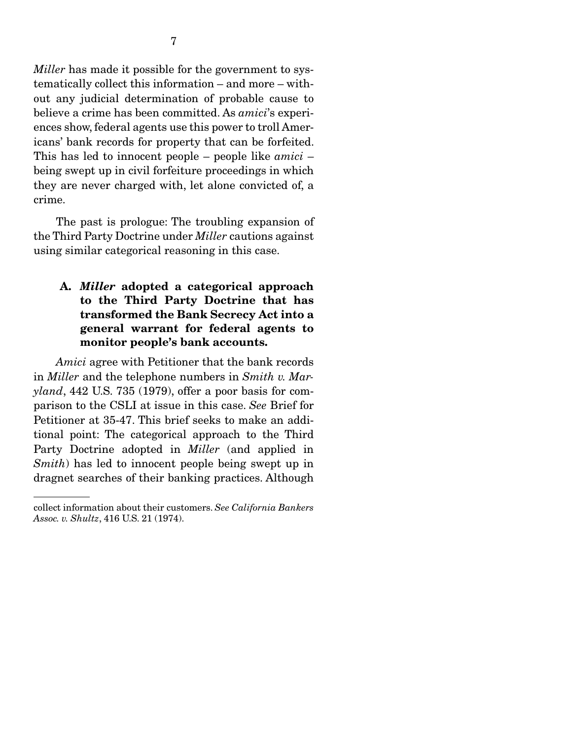ences show, federal agents use this power to troll Americans' bank records for property that can be forfeited. This has led to innocent people – people like *amici* – being swept up in civil forfeiture proceedings in which they are never charged with, let alone convicted of, a crime.

 The past is prologue: The troubling expansion of the Third Party Doctrine under *Miller* cautions against using similar categorical reasoning in this case.

### A. *Miller* adopted a categorical approach to the Third Party Doctrine that has transformed the Bank Secrecy Act into a general warrant for federal agents to monitor people's bank accounts.

*Amici* agree with Petitioner that the bank records in *Miller* and the telephone numbers in *Smith v. Maryland*, 442 U.S. 735 (1979), offer a poor basis for comparison to the CSLI at issue in this case. *See* Brief for Petitioner at 35-47. This brief seeks to make an additional point: The categorical approach to the Third Party Doctrine adopted in *Miller* (and applied in *Smith*) has led to innocent people being swept up in dragnet searches of their banking practices. Although

collect information about their customers. *See California Bankers Assoc. v. Shultz*, 416 U.S. 21 (1974).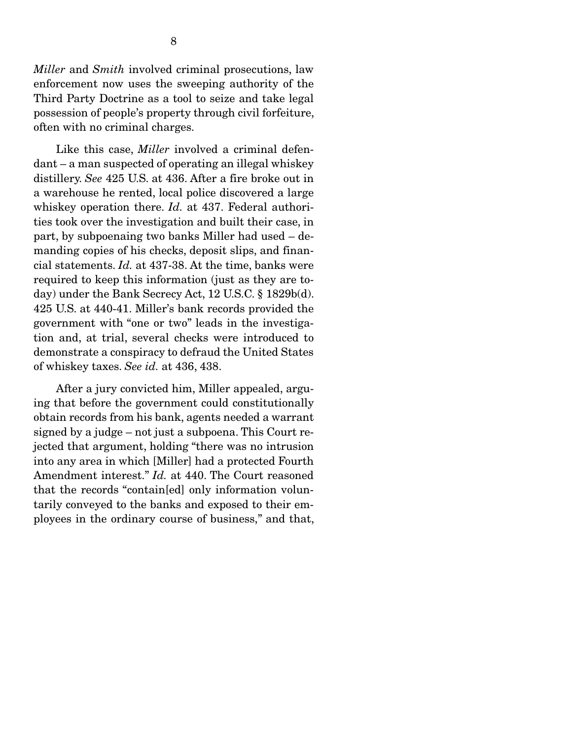*Miller* and *Smith* involved criminal prosecutions, law enforcement now uses the sweeping authority of the Third Party Doctrine as a tool to seize and take legal possession of people's property through civil forfeiture, often with no criminal charges.

 Like this case, *Miller* involved a criminal defendant – a man suspected of operating an illegal whiskey distillery. *See* 425 U.S. at 436. After a fire broke out in a warehouse he rented, local police discovered a large whiskey operation there. *Id.* at 437. Federal authorities took over the investigation and built their case, in part, by subpoenaing two banks Miller had used – demanding copies of his checks, deposit slips, and financial statements. *Id.* at 437-38. At the time, banks were required to keep this information (just as they are today) under the Bank Secrecy Act, 12 U.S.C. § 1829b(d). 425 U.S. at 440-41. Miller's bank records provided the government with "one or two" leads in the investigation and, at trial, several checks were introduced to demonstrate a conspiracy to defraud the United States of whiskey taxes. *See id.* at 436, 438.

 After a jury convicted him, Miller appealed, arguing that before the government could constitutionally obtain records from his bank, agents needed a warrant signed by a judge – not just a subpoena. This Court rejected that argument, holding "there was no intrusion into any area in which [Miller] had a protected Fourth Amendment interest." *Id.* at 440. The Court reasoned that the records "contain[ed] only information voluntarily conveyed to the banks and exposed to their employees in the ordinary course of business," and that,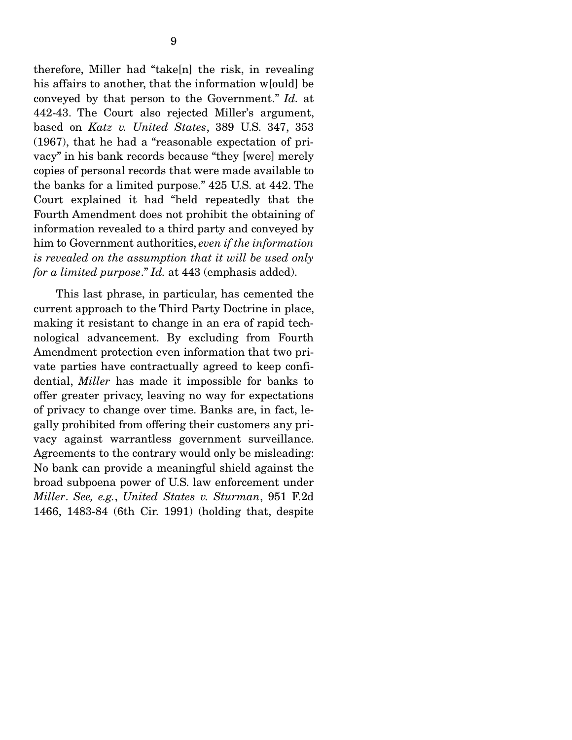therefore, Miller had "take[n] the risk, in revealing his affairs to another, that the information w[ould] be conveyed by that person to the Government." *Id.* at 442-43. The Court also rejected Miller's argument, based on *Katz v. United States*, 389 U.S. 347, 353 (1967), that he had a "reasonable expectation of privacy" in his bank records because "they [were] merely copies of personal records that were made available to the banks for a limited purpose." 425 U.S. at 442. The Court explained it had "held repeatedly that the Fourth Amendment does not prohibit the obtaining of information revealed to a third party and conveyed by him to Government authorities, *even if the information is revealed on the assumption that it will be used only for a limited purpose*." *Id.* at 443 (emphasis added).

 This last phrase, in particular, has cemented the current approach to the Third Party Doctrine in place, making it resistant to change in an era of rapid technological advancement. By excluding from Fourth Amendment protection even information that two private parties have contractually agreed to keep confidential, *Miller* has made it impossible for banks to offer greater privacy, leaving no way for expectations of privacy to change over time. Banks are, in fact, legally prohibited from offering their customers any privacy against warrantless government surveillance. Agreements to the contrary would only be misleading: No bank can provide a meaningful shield against the broad subpoena power of U.S. law enforcement under *Miller*. *See, e.g.*, *United States v. Sturman*, 951 F.2d 1466, 1483-84 (6th Cir. 1991) (holding that, despite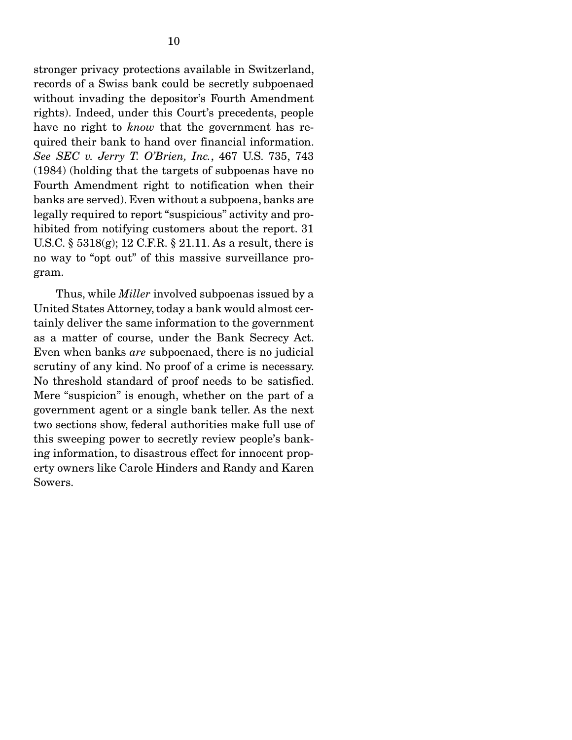stronger privacy protections available in Switzerland, records of a Swiss bank could be secretly subpoenaed without invading the depositor's Fourth Amendment rights). Indeed, under this Court's precedents, people have no right to *know* that the government has required their bank to hand over financial information. *See SEC v. Jerry T. O'Brien, Inc.*, 467 U.S. 735, 743 (1984) (holding that the targets of subpoenas have no Fourth Amendment right to notification when their banks are served). Even without a subpoena, banks are legally required to report "suspicious" activity and prohibited from notifying customers about the report. 31 U.S.C. § 5318(g); 12 C.F.R. § 21.11. As a result, there is no way to "opt out" of this massive surveillance program.

 Thus, while *Miller* involved subpoenas issued by a United States Attorney, today a bank would almost certainly deliver the same information to the government as a matter of course, under the Bank Secrecy Act. Even when banks *are* subpoenaed, there is no judicial scrutiny of any kind. No proof of a crime is necessary. No threshold standard of proof needs to be satisfied. Mere "suspicion" is enough, whether on the part of a government agent or a single bank teller. As the next two sections show, federal authorities make full use of this sweeping power to secretly review people's banking information, to disastrous effect for innocent property owners like Carole Hinders and Randy and Karen Sowers.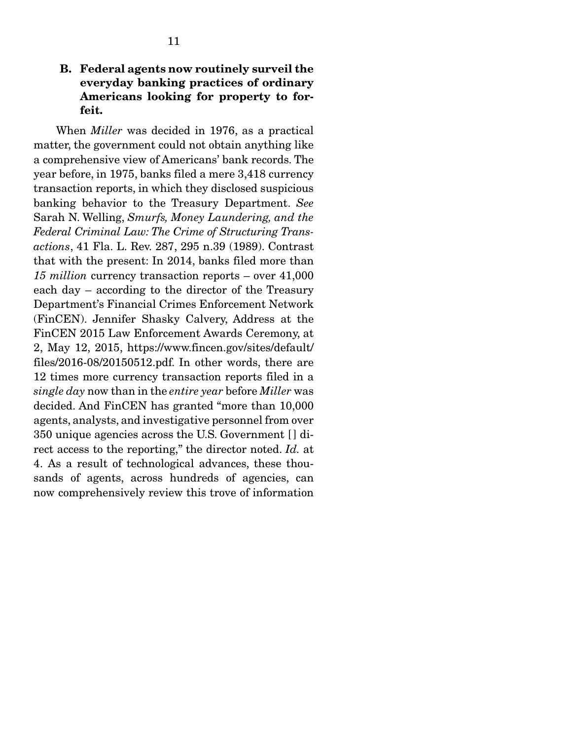### B. Federal agents now routinely surveil the everyday banking practices of ordinary Americans looking for property to forfeit.

 When *Miller* was decided in 1976, as a practical matter, the government could not obtain anything like a comprehensive view of Americans' bank records. The year before, in 1975, banks filed a mere 3,418 currency transaction reports, in which they disclosed suspicious banking behavior to the Treasury Department. *See*  Sarah N. Welling, *Smurfs, Money Laundering, and the Federal Criminal Law: The Crime of Structuring Transactions*, 41 Fla. L. Rev. 287, 295 n.39 (1989). Contrast that with the present: In 2014, banks filed more than *15 million* currency transaction reports – over 41,000 each day – according to the director of the Treasury Department's Financial Crimes Enforcement Network (FinCEN). Jennifer Shasky Calvery, Address at the FinCEN 2015 Law Enforcement Awards Ceremony, at 2, May 12, 2015, https://www.fincen.gov/sites/default/ files/2016-08/20150512.pdf. In other words, there are 12 times more currency transaction reports filed in a *single day* now than in the *entire year* before *Miller* was decided. And FinCEN has granted "more than 10,000 agents, analysts, and investigative personnel from over 350 unique agencies across the U.S. Government [ ] direct access to the reporting," the director noted. *Id.* at 4. As a result of technological advances, these thousands of agents, across hundreds of agencies, can now comprehensively review this trove of information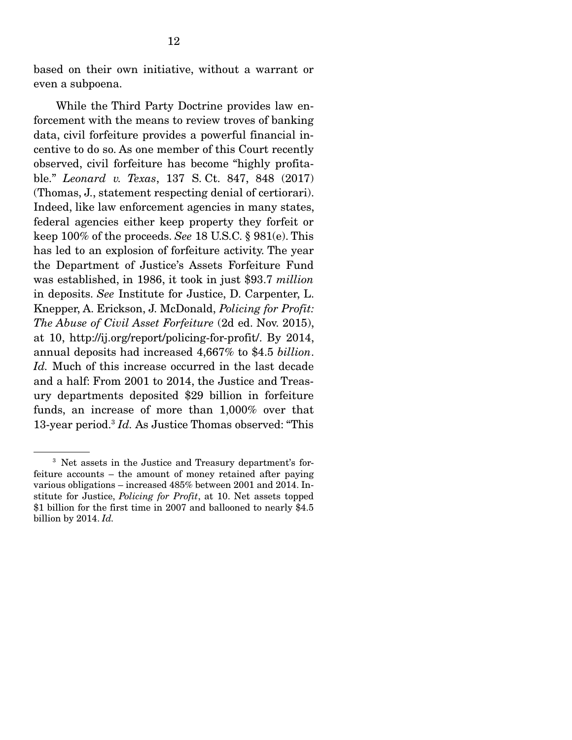based on their own initiative, without a warrant or even a subpoena.

 While the Third Party Doctrine provides law enforcement with the means to review troves of banking data, civil forfeiture provides a powerful financial incentive to do so. As one member of this Court recently observed, civil forfeiture has become "highly profitable." *Leonard v. Texas*, 137 S. Ct. 847, 848 (2017) (Thomas, J., statement respecting denial of certiorari). Indeed, like law enforcement agencies in many states, federal agencies either keep property they forfeit or keep 100% of the proceeds. *See* 18 U.S.C. § 981(e). This has led to an explosion of forfeiture activity. The year the Department of Justice's Assets Forfeiture Fund was established, in 1986, it took in just \$93.7 *million* in deposits. *See* Institute for Justice, D. Carpenter, L. Knepper, A. Erickson, J. McDonald, *Policing for Profit: The Abuse of Civil Asset Forfeiture* (2d ed. Nov. 2015), at 10, http://ij.org/report/policing-for-profit/. By 2014, annual deposits had increased 4,667% to \$4.5 *billion*. *Id.* Much of this increase occurred in the last decade and a half: From 2001 to 2014, the Justice and Treasury departments deposited \$29 billion in forfeiture funds, an increase of more than 1,000% over that 13-year period.3 *Id.* As Justice Thomas observed: "This

<sup>3</sup> Net assets in the Justice and Treasury department's forfeiture accounts – the amount of money retained after paying various obligations – increased 485% between 2001 and 2014. Institute for Justice, *Policing for Profit*, at 10. Net assets topped \$1 billion for the first time in 2007 and ballooned to nearly \$4.5 billion by 2014. *Id.*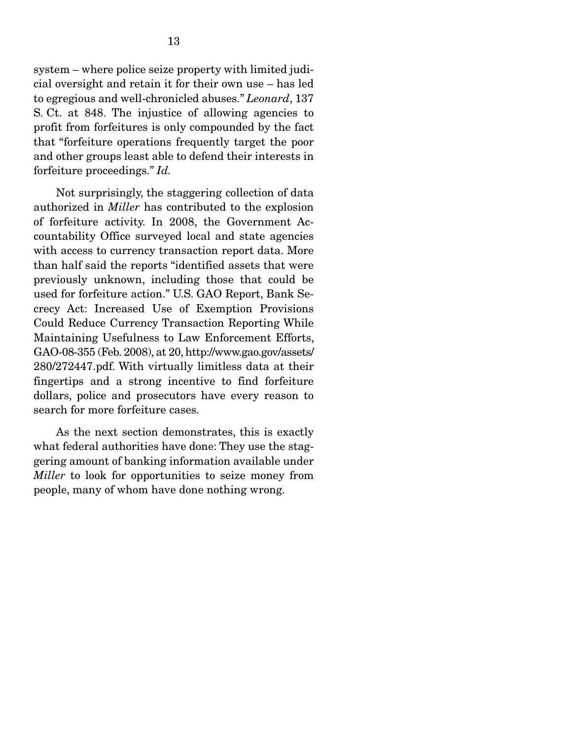system – where police seize property with limited judicial oversight and retain it for their own use – has led to egregious and well-chronicled abuses." *Leonard*, 137 S. Ct. at 848. The injustice of allowing agencies to profit from forfeitures is only compounded by the fact that "forfeiture operations frequently target the poor and other groups least able to defend their interests in forfeiture proceedings." *Id.* 

Not surprisingly, the staggering collection of data authorized in *Miller* has contributed to the explosion of forfeiture activity. In 2008, the Government Accountability Office surveyed local and state agencies with access to currency transaction report data. More than half said the reports "identified assets that were previously unknown, including those that could be used for forfeiture action." U.S. GAO Report, Bank Secrecy Act: Increased Use of Exemption Provisions Could Reduce Currency Transaction Reporting While Maintaining Usefulness to Law Enforcement Efforts, GAO-08-355 (Feb. 2008), at 20, http://www.gao.gov/assets/ 280/272447.pdf. With virtually limitless data at their fingertips and a strong incentive to find forfeiture dollars, police and prosecutors have every reason to search for more forfeiture cases.

 As the next section demonstrates, this is exactly what federal authorities have done: They use the staggering amount of banking information available under *Miller* to look for opportunities to seize money from people, many of whom have done nothing wrong.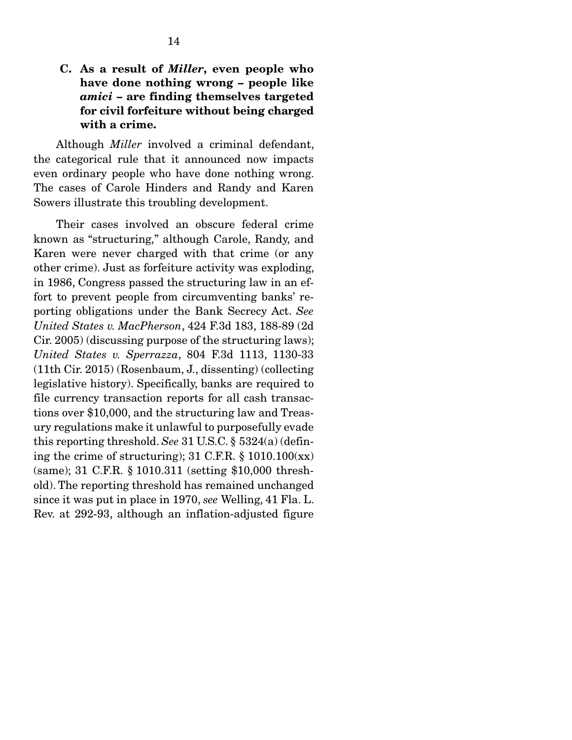#### C. As a result of *Miller*, even people who have done nothing wrong – people like *amici* – are finding themselves targeted for civil forfeiture without being charged with a crime.

 Although *Miller* involved a criminal defendant, the categorical rule that it announced now impacts even ordinary people who have done nothing wrong. The cases of Carole Hinders and Randy and Karen Sowers illustrate this troubling development.

 Their cases involved an obscure federal crime known as "structuring," although Carole, Randy, and Karen were never charged with that crime (or any other crime). Just as forfeiture activity was exploding, in 1986, Congress passed the structuring law in an effort to prevent people from circumventing banks' reporting obligations under the Bank Secrecy Act. *See United States v. MacPherson*, 424 F.3d 183, 188-89 (2d Cir. 2005) (discussing purpose of the structuring laws); *United States v. Sperrazza*, 804 F.3d 1113, 1130-33 (11th Cir. 2015) (Rosenbaum, J., dissenting) (collecting legislative history). Specifically, banks are required to file currency transaction reports for all cash transactions over \$10,000, and the structuring law and Treasury regulations make it unlawful to purposefully evade this reporting threshold. *See* 31 U.S.C. § 5324(a) (defining the crime of structuring);  $31$  C.F.R.  $\S$  1010.100(xx) (same); 31 C.F.R. § 1010.311 (setting \$10,000 threshold). The reporting threshold has remained unchanged since it was put in place in 1970, *see* Welling, 41 Fla. L. Rev. at 292-93, although an inflation-adjusted figure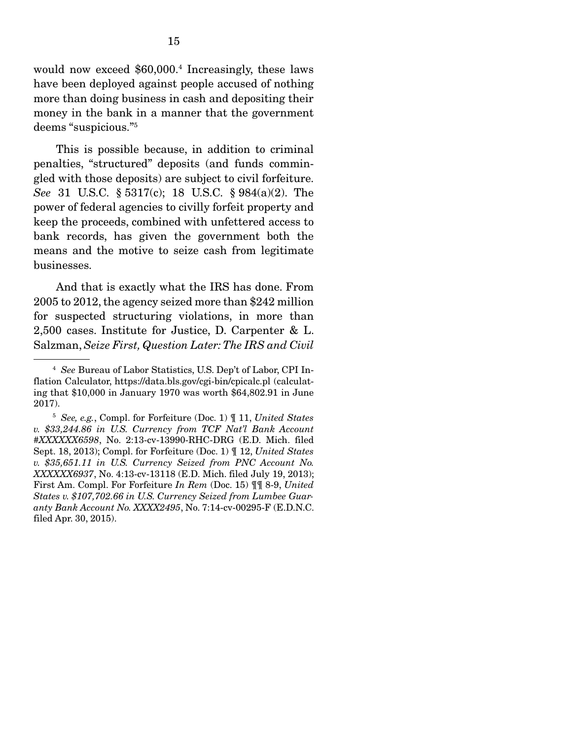would now exceed \$60,000.4 Increasingly, these laws have been deployed against people accused of nothing more than doing business in cash and depositing their money in the bank in a manner that the government deems "suspicious."5

 This is possible because, in addition to criminal penalties, "structured" deposits (and funds commingled with those deposits) are subject to civil forfeiture. *See* 31 U.S.C. § 5317(c); 18 U.S.C. § 984(a)(2). The power of federal agencies to civilly forfeit property and keep the proceeds, combined with unfettered access to bank records, has given the government both the means and the motive to seize cash from legitimate businesses.

 And that is exactly what the IRS has done. From 2005 to 2012, the agency seized more than \$242 million for suspected structuring violations, in more than 2,500 cases. Institute for Justice, D. Carpenter & L. Salzman, *Seize First, Question Later: The IRS and Civil* 

<sup>4</sup> *See* Bureau of Labor Statistics, U.S. Dep't of Labor, CPI Inflation Calculator, https://data.bls.gov/cgi-bin/cpicalc.pl (calculating that \$10,000 in January 1970 was worth \$64,802.91 in June 2017).

<sup>5</sup> *See, e.g.*, Compl. for Forfeiture (Doc. 1) ¶ 11, *United States v. \$33,244.86 in U.S. Currency from TCF Nat'l Bank Account #XXXXXX6598*, No. 2:13-cv-13990-RHC-DRG (E.D. Mich. filed Sept. 18, 2013); Compl. for Forfeiture (Doc. 1) ¶ 12, *United States v. \$35,651.11 in U.S. Currency Seized from PNC Account No. XXXXXX6937*, No. 4:13-cv-13118 (E.D. Mich. filed July 19, 2013); First Am. Compl. For Forfeiture *In Rem* (Doc. 15) ¶¶ 8-9, *United States v. \$107,702.66 in U.S. Currency Seized from Lumbee Guaranty Bank Account No. XXXX2495*, No. 7:14-cv-00295-F (E.D.N.C. filed Apr. 30, 2015).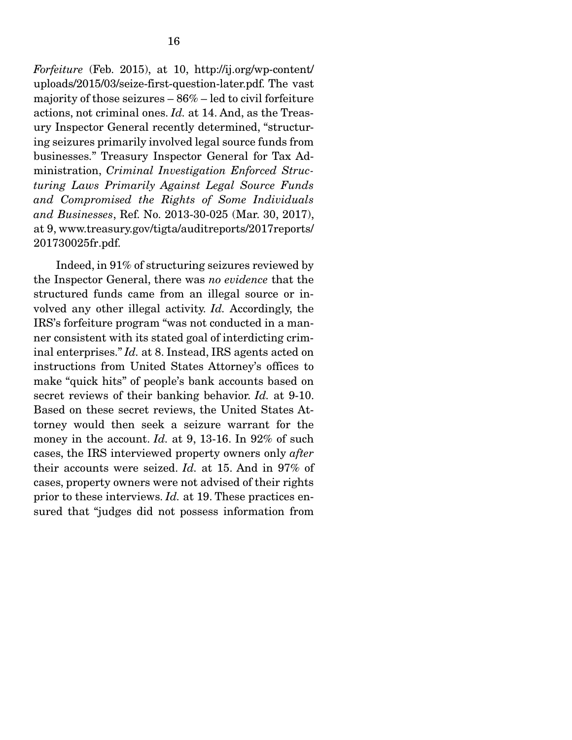*Forfeiture* (Feb. 2015), at 10, http://ij.org/wp-content/ uploads/2015/03/seize-first-question-later.pdf. The vast majority of those seizures – 86% – led to civil forfeiture actions, not criminal ones. *Id.* at 14. And, as the Treasury Inspector General recently determined, "structuring seizures primarily involved legal source funds from businesses." Treasury Inspector General for Tax Administration, *Criminal Investigation Enforced Structuring Laws Primarily Against Legal Source Funds and Compromised the Rights of Some Individuals and Businesses*, Ref. No. 2013-30-025 (Mar. 30, 2017), at 9, www.treasury.gov/tigta/auditreports/2017reports/ 201730025fr.pdf.

 Indeed, in 91% of structuring seizures reviewed by the Inspector General, there was *no evidence* that the structured funds came from an illegal source or involved any other illegal activity. *Id.* Accordingly, the IRS's forfeiture program "was not conducted in a manner consistent with its stated goal of interdicting criminal enterprises." *Id.* at 8. Instead, IRS agents acted on instructions from United States Attorney's offices to make "quick hits" of people's bank accounts based on secret reviews of their banking behavior. *Id.* at 9-10. Based on these secret reviews, the United States Attorney would then seek a seizure warrant for the money in the account. *Id.* at 9, 13-16. In 92% of such cases, the IRS interviewed property owners only *after*  their accounts were seized. *Id.* at 15. And in 97% of cases, property owners were not advised of their rights prior to these interviews. *Id.* at 19. These practices ensured that "judges did not possess information from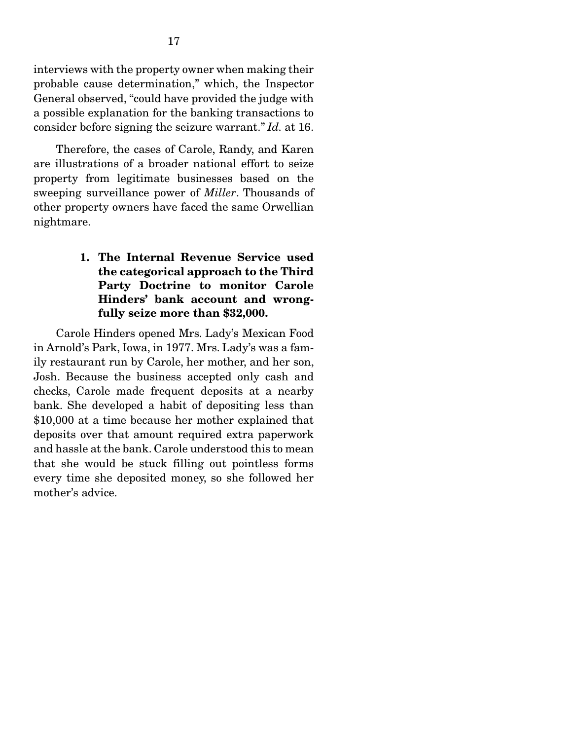interviews with the property owner when making their probable cause determination," which, the Inspector General observed, "could have provided the judge with a possible explanation for the banking transactions to consider before signing the seizure warrant." *Id.* at 16.

 Therefore, the cases of Carole, Randy, and Karen are illustrations of a broader national effort to seize property from legitimate businesses based on the sweeping surveillance power of *Miller*. Thousands of other property owners have faced the same Orwellian nightmare.

#### 1. The Internal Revenue Service used the categorical approach to the Third Party Doctrine to monitor Carole Hinders' bank account and wrongfully seize more than \$32,000.

 Carole Hinders opened Mrs. Lady's Mexican Food in Arnold's Park, Iowa, in 1977. Mrs. Lady's was a family restaurant run by Carole, her mother, and her son, Josh. Because the business accepted only cash and checks, Carole made frequent deposits at a nearby bank. She developed a habit of depositing less than \$10,000 at a time because her mother explained that deposits over that amount required extra paperwork and hassle at the bank. Carole understood this to mean that she would be stuck filling out pointless forms every time she deposited money, so she followed her mother's advice.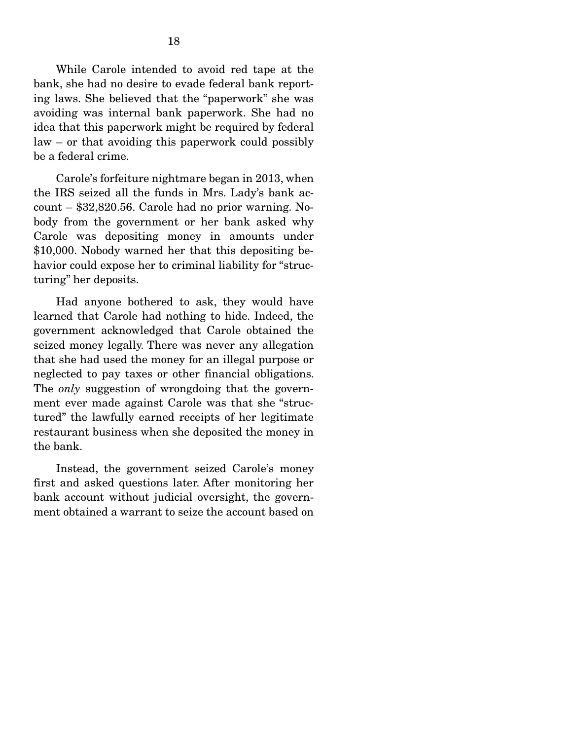While Carole intended to avoid red tape at the bank, she had no desire to evade federal bank reporting laws. She believed that the "paperwork" she was avoiding was internal bank paperwork. She had no idea that this paperwork might be required by federal law – or that avoiding this paperwork could possibly be a federal crime.

 Carole's forfeiture nightmare began in 2013, when the IRS seized all the funds in Mrs. Lady's bank account – \$32,820.56. Carole had no prior warning. Nobody from the government or her bank asked why Carole was depositing money in amounts under \$10,000. Nobody warned her that this depositing behavior could expose her to criminal liability for "structuring" her deposits.

 Had anyone bothered to ask, they would have learned that Carole had nothing to hide. Indeed, the government acknowledged that Carole obtained the seized money legally. There was never any allegation that she had used the money for an illegal purpose or neglected to pay taxes or other financial obligations. The *only* suggestion of wrongdoing that the government ever made against Carole was that she "structured" the lawfully earned receipts of her legitimate restaurant business when she deposited the money in the bank.

 Instead, the government seized Carole's money first and asked questions later. After monitoring her bank account without judicial oversight, the government obtained a warrant to seize the account based on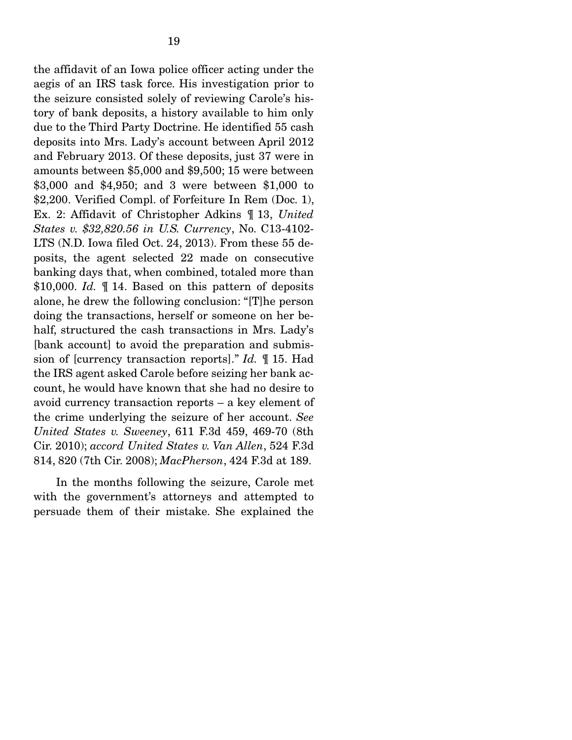the affidavit of an Iowa police officer acting under the aegis of an IRS task force. His investigation prior to the seizure consisted solely of reviewing Carole's history of bank deposits, a history available to him only due to the Third Party Doctrine. He identified 55 cash deposits into Mrs. Lady's account between April 2012 and February 2013. Of these deposits, just 37 were in amounts between \$5,000 and \$9,500; 15 were between \$3,000 and \$4,950; and 3 were between \$1,000 to \$2,200. Verified Compl. of Forfeiture In Rem (Doc. 1), Ex. 2: Affidavit of Christopher Adkins ¶ 13, *United States v. \$32,820.56 in U.S. Currency*, No. C13-4102- LTS (N.D. Iowa filed Oct. 24, 2013). From these 55 deposits, the agent selected 22 made on consecutive banking days that, when combined, totaled more than \$10,000. *Id.* 14. Based on this pattern of deposits alone, he drew the following conclusion: "[T]he person doing the transactions, herself or someone on her behalf, structured the cash transactions in Mrs. Lady's [bank account] to avoid the preparation and submission of [currency transaction reports]." *Id.* ¶ 15. Had the IRS agent asked Carole before seizing her bank account, he would have known that she had no desire to avoid currency transaction reports – a key element of the crime underlying the seizure of her account. *See United States v. Sweeney*, 611 F.3d 459, 469-70 (8th Cir. 2010); *accord United States v. Van Allen*, 524 F.3d 814, 820 (7th Cir. 2008); *MacPherson*, 424 F.3d at 189.

 In the months following the seizure, Carole met with the government's attorneys and attempted to persuade them of their mistake. She explained the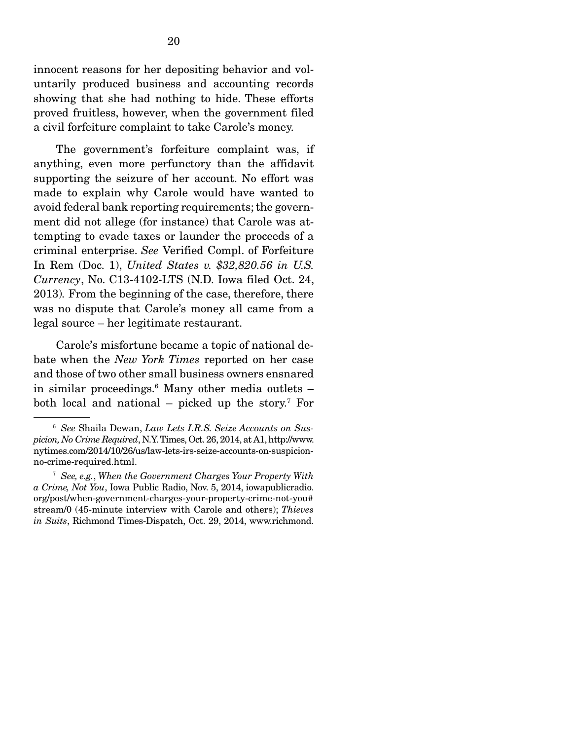innocent reasons for her depositing behavior and voluntarily produced business and accounting records showing that she had nothing to hide. These efforts proved fruitless, however, when the government filed a civil forfeiture complaint to take Carole's money.

 The government's forfeiture complaint was, if anything, even more perfunctory than the affidavit supporting the seizure of her account. No effort was made to explain why Carole would have wanted to avoid federal bank reporting requirements; the government did not allege (for instance) that Carole was attempting to evade taxes or launder the proceeds of a criminal enterprise. *See* Verified Compl. of Forfeiture In Rem (Doc. 1), *United States v. \$32,820.56 in U.S. Currency*, No. C13-4102-LTS (N.D. Iowa filed Oct. 24, 2013)*.* From the beginning of the case, therefore, there was no dispute that Carole's money all came from a legal source – her legitimate restaurant.

 Carole's misfortune became a topic of national debate when the *New York Times* reported on her case and those of two other small business owners ensnared in similar proceedings.6 Many other media outlets – both local and national – picked up the story.7 For

<sup>6</sup> *See* Shaila Dewan, *Law Lets I.R.S. Seize Accounts on Suspicion, No Crime Required*, N.Y. Times, Oct. 26, 2014, at A1, http://www. nytimes.com/2014/10/26/us/law-lets-irs-seize-accounts-on-suspicionno-crime-required.html.

<sup>7</sup> *See, e.g.*, *When the Government Charges Your Property With a Crime, Not You*, Iowa Public Radio, Nov. 5, 2014, iowapublicradio. org/post/when-government-charges-your-property-crime-not-you# stream/0 (45-minute interview with Carole and others); *Thieves in Suits*, Richmond Times-Dispatch, Oct. 29, 2014, www.richmond.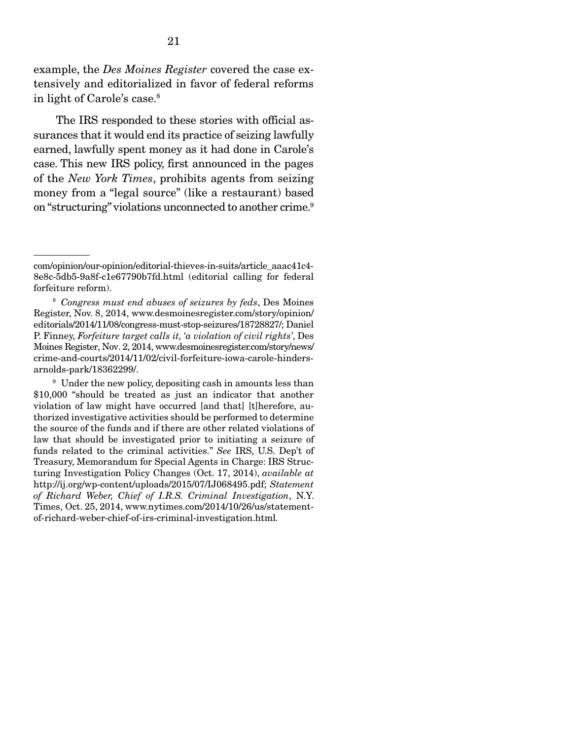example, the *Des Moines Register* covered the case extensively and editorialized in favor of federal reforms in light of Carole's case.8

 The IRS responded to these stories with official assurances that it would end its practice of seizing lawfully earned, lawfully spent money as it had done in Carole's case. This new IRS policy, first announced in the pages of the *New York Times*, prohibits agents from seizing money from a "legal source" (like a restaurant) based on "structuring" violations unconnected to another crime.<sup>9</sup>

com/opinion/our-opinion/editorial-thieves-in-suits/article\_aaac41c4- 8e8c-5db5-9a8f-c1e67790b7fd.html (editorial calling for federal forfeiture reform).

<sup>8</sup> *Congress must end abuses of seizures by feds*, Des Moines Register, Nov. 8, 2014, www.desmoinesregister.com/story/opinion/ editorials/2014/11/08/congress-must-stop-seizures/18728827/; Daniel P. Finney, *Forfeiture target calls it, 'a violation of civil rights'*, Des Moines Register, Nov. 2, 2014, www.desmoinesregister.com/story/news/ crime-and-courts/2014/11/02/civil-forfeiture-iowa-carole-hindersarnolds-park/18362299/.

<sup>&</sup>lt;sup>9</sup> Under the new policy, depositing cash in amounts less than \$10,000 "should be treated as just an indicator that another violation of law might have occurred [and that] [t]herefore, authorized investigative activities should be performed to determine the source of the funds and if there are other related violations of law that should be investigated prior to initiating a seizure of funds related to the criminal activities." *See* IRS, U.S. Dep't of Treasury, Memorandum for Special Agents in Charge: IRS Structuring Investigation Policy Changes (Oct. 17, 2014), *available at* http://ij.org/wp-content/uploads/2015/07/IJ068495.pdf; *Statement of Richard Weber, Chief of I.R.S. Criminal Investigation*, N.Y. Times, Oct. 25, 2014, www.nytimes.com/2014/10/26/us/statementof-richard-weber-chief-of-irs-criminal-investigation.html*.*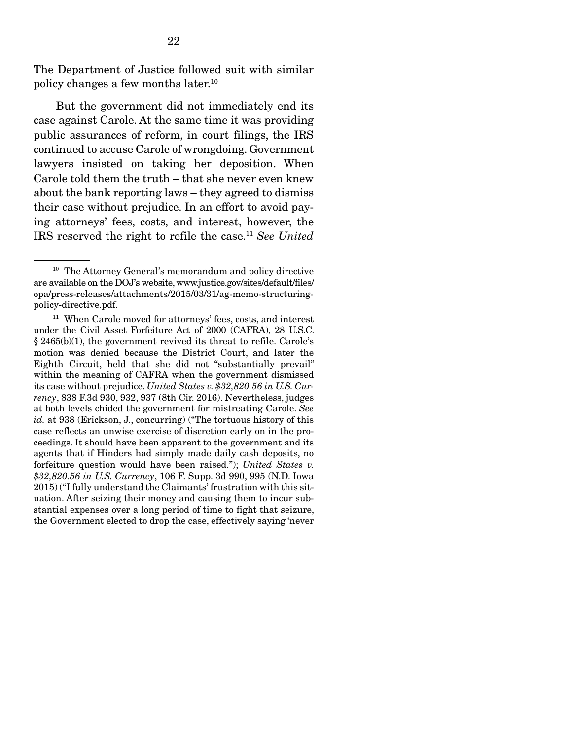The Department of Justice followed suit with similar policy changes a few months later.10

But the government did not immediately end its case against Carole. At the same time it was providing public assurances of reform, in court filings, the IRS continued to accuse Carole of wrongdoing. Government lawyers insisted on taking her deposition. When Carole told them the truth – that she never even knew about the bank reporting laws – they agreed to dismiss their case without prejudice. In an effort to avoid paying attorneys' fees, costs, and interest, however, the IRS reserved the right to refile the case.11 *See United* 

<sup>&</sup>lt;sup>10</sup> The Attorney General's memorandum and policy directive are available on the DOJ's website, www.justice.gov/sites/default/files/ opa/press-releases/attachments/2015/03/31/ag-memo-structuringpolicy-directive.pdf.

<sup>&</sup>lt;sup>11</sup> When Carole moved for attorneys' fees, costs, and interest under the Civil Asset Forfeiture Act of 2000 (CAFRA), 28 U.S.C. § 2465(b)(1), the government revived its threat to refile. Carole's motion was denied because the District Court, and later the Eighth Circuit, held that she did not "substantially prevail" within the meaning of CAFRA when the government dismissed its case without prejudice. *United States v. \$32,820.56 in U.S. Currency*, 838 F.3d 930, 932, 937 (8th Cir. 2016). Nevertheless, judges at both levels chided the government for mistreating Carole. *See id.* at 938 (Erickson, J., concurring) ("The tortuous history of this case reflects an unwise exercise of discretion early on in the proceedings. It should have been apparent to the government and its agents that if Hinders had simply made daily cash deposits, no forfeiture question would have been raised."); *United States v. \$32,820.56 in U.S. Currency*, 106 F. Supp. 3d 990, 995 (N.D. Iowa 2015) ("I fully understand the Claimants' frustration with this situation. After seizing their money and causing them to incur substantial expenses over a long period of time to fight that seizure, the Government elected to drop the case, effectively saying 'never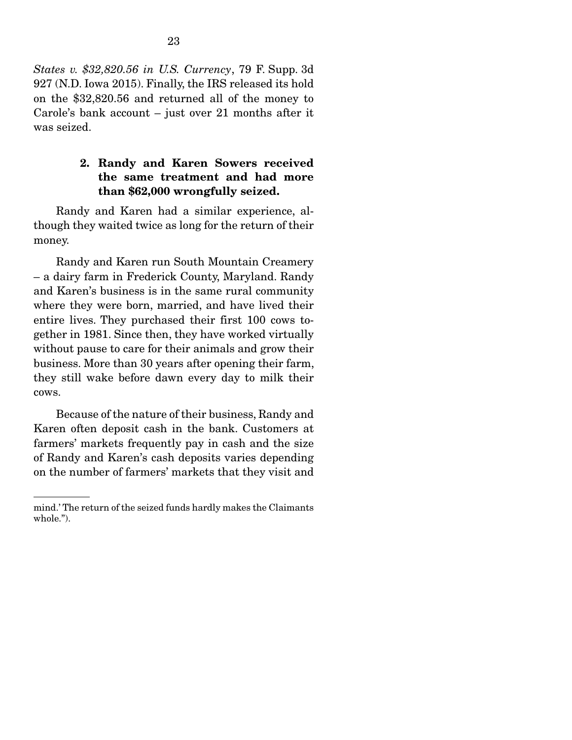*States v. \$32,820.56 in U.S. Currency*, 79 F. Supp. 3d 927 (N.D. Iowa 2015). Finally, the IRS released its hold on the \$32,820.56 and returned all of the money to Carole's bank account – just over 21 months after it was seized.

#### 2. Randy and Karen Sowers received the same treatment and had more than \$62,000 wrongfully seized.

 Randy and Karen had a similar experience, although they waited twice as long for the return of their money.

 Randy and Karen run South Mountain Creamery – a dairy farm in Frederick County, Maryland. Randy and Karen's business is in the same rural community where they were born, married, and have lived their entire lives. They purchased their first 100 cows together in 1981. Since then, they have worked virtually without pause to care for their animals and grow their business. More than 30 years after opening their farm, they still wake before dawn every day to milk their cows.

 Because of the nature of their business, Randy and Karen often deposit cash in the bank. Customers at farmers' markets frequently pay in cash and the size of Randy and Karen's cash deposits varies depending on the number of farmers' markets that they visit and

mind.' The return of the seized funds hardly makes the Claimants whole.").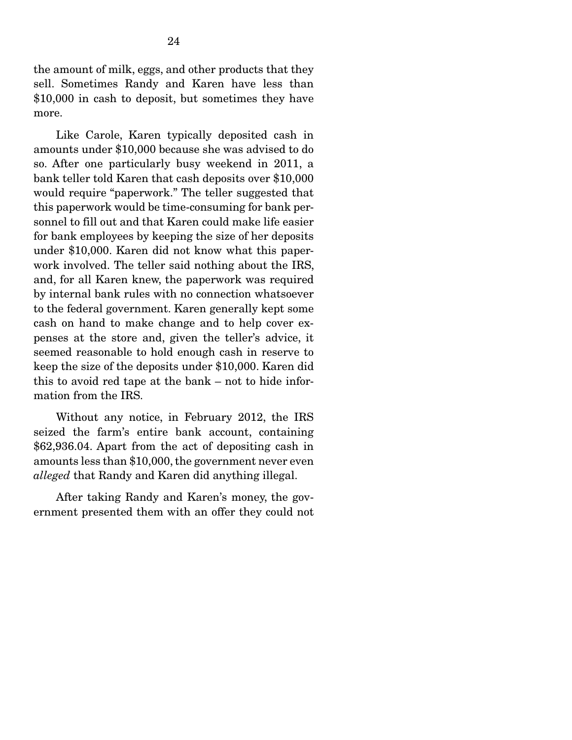the amount of milk, eggs, and other products that they sell. Sometimes Randy and Karen have less than \$10,000 in cash to deposit, but sometimes they have more.

 Like Carole, Karen typically deposited cash in amounts under \$10,000 because she was advised to do so. After one particularly busy weekend in 2011, a bank teller told Karen that cash deposits over \$10,000 would require "paperwork." The teller suggested that this paperwork would be time-consuming for bank personnel to fill out and that Karen could make life easier for bank employees by keeping the size of her deposits under \$10,000. Karen did not know what this paperwork involved. The teller said nothing about the IRS, and, for all Karen knew, the paperwork was required by internal bank rules with no connection whatsoever to the federal government. Karen generally kept some cash on hand to make change and to help cover expenses at the store and, given the teller's advice, it seemed reasonable to hold enough cash in reserve to keep the size of the deposits under \$10,000. Karen did this to avoid red tape at the bank – not to hide information from the IRS.

 Without any notice, in February 2012, the IRS seized the farm's entire bank account, containing \$62,936.04. Apart from the act of depositing cash in amounts less than \$10,000, the government never even *alleged* that Randy and Karen did anything illegal.

After taking Randy and Karen's money, the government presented them with an offer they could not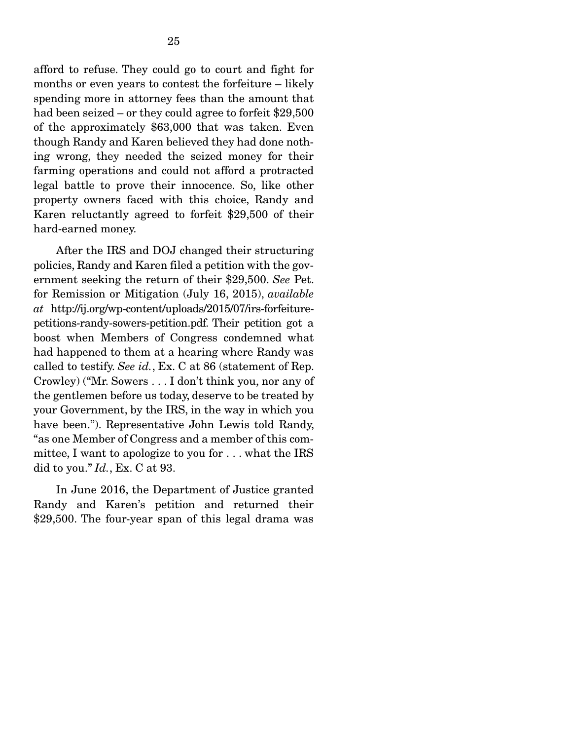afford to refuse. They could go to court and fight for months or even years to contest the forfeiture – likely spending more in attorney fees than the amount that had been seized – or they could agree to forfeit \$29,500 of the approximately \$63,000 that was taken. Even though Randy and Karen believed they had done nothing wrong, they needed the seized money for their farming operations and could not afford a protracted legal battle to prove their innocence. So, like other property owners faced with this choice, Randy and Karen reluctantly agreed to forfeit \$29,500 of their hard-earned money.

After the IRS and DOJ changed their structuring policies, Randy and Karen filed a petition with the government seeking the return of their \$29,500. *See* Pet. for Remission or Mitigation (July 16, 2015), *available at* http://ij.org/wp-content/uploads/2015/07/irs-forfeiturepetitions-randy-sowers-petition.pdf. Their petition got a boost when Members of Congress condemned what had happened to them at a hearing where Randy was called to testify. *See id.*, Ex. C at 86 (statement of Rep. Crowley) ("Mr. Sowers . . . I don't think you, nor any of the gentlemen before us today, deserve to be treated by your Government, by the IRS, in the way in which you have been."). Representative John Lewis told Randy, "as one Member of Congress and a member of this committee, I want to apologize to you for . . . what the IRS did to you." *Id.*, Ex. C at 93.

 In June 2016, the Department of Justice granted Randy and Karen's petition and returned their \$29,500. The four-year span of this legal drama was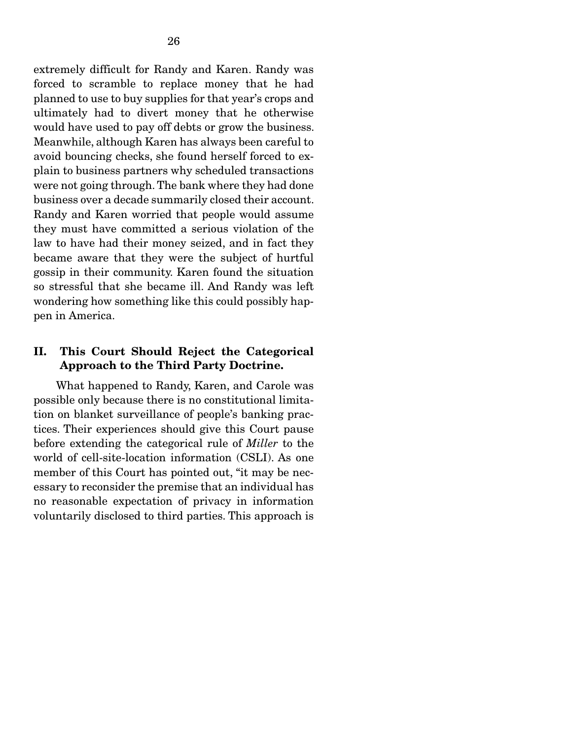extremely difficult for Randy and Karen. Randy was forced to scramble to replace money that he had planned to use to buy supplies for that year's crops and ultimately had to divert money that he otherwise would have used to pay off debts or grow the business. Meanwhile, although Karen has always been careful to avoid bouncing checks, she found herself forced to explain to business partners why scheduled transactions were not going through. The bank where they had done business over a decade summarily closed their account. Randy and Karen worried that people would assume they must have committed a serious violation of the law to have had their money seized, and in fact they became aware that they were the subject of hurtful gossip in their community. Karen found the situation so stressful that she became ill. And Randy was left wondering how something like this could possibly happen in America.

#### II. This Court Should Reject the Categorical Approach to the Third Party Doctrine.

 What happened to Randy, Karen, and Carole was possible only because there is no constitutional limitation on blanket surveillance of people's banking practices. Their experiences should give this Court pause before extending the categorical rule of *Miller* to the world of cell-site-location information (CSLI). As one member of this Court has pointed out, "it may be necessary to reconsider the premise that an individual has no reasonable expectation of privacy in information voluntarily disclosed to third parties. This approach is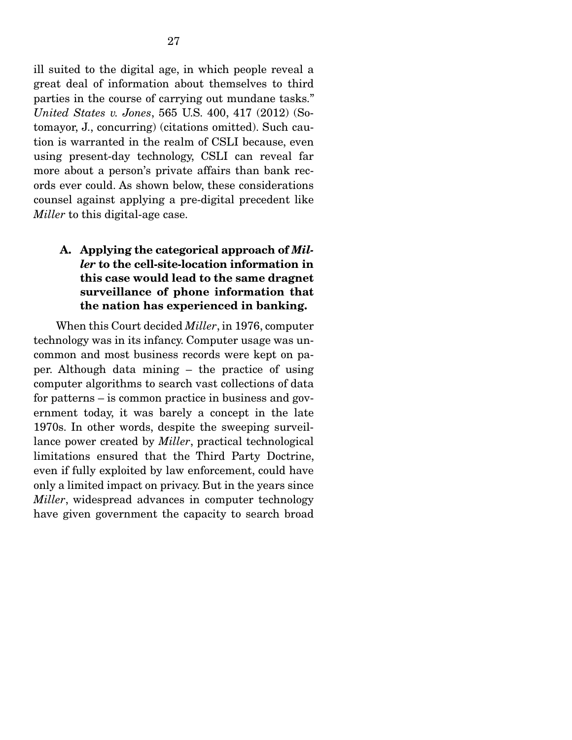ill suited to the digital age, in which people reveal a great deal of information about themselves to third parties in the course of carrying out mundane tasks." *United States v. Jones*, 565 U.S. 400, 417 (2012) (Sotomayor, J., concurring) (citations omitted). Such caution is warranted in the realm of CSLI because, even using present-day technology, CSLI can reveal far more about a person's private affairs than bank records ever could. As shown below, these considerations counsel against applying a pre-digital precedent like *Miller* to this digital-age case.

### A. Applying the categorical approach of *Miller* to the cell-site-location information in this case would lead to the same dragnet surveillance of phone information that the nation has experienced in banking.

 When this Court decided *Miller*, in 1976, computer technology was in its infancy. Computer usage was uncommon and most business records were kept on paper. Although data mining – the practice of using computer algorithms to search vast collections of data for patterns – is common practice in business and government today, it was barely a concept in the late 1970s. In other words, despite the sweeping surveillance power created by *Miller*, practical technological limitations ensured that the Third Party Doctrine, even if fully exploited by law enforcement, could have only a limited impact on privacy. But in the years since *Miller*, widespread advances in computer technology have given government the capacity to search broad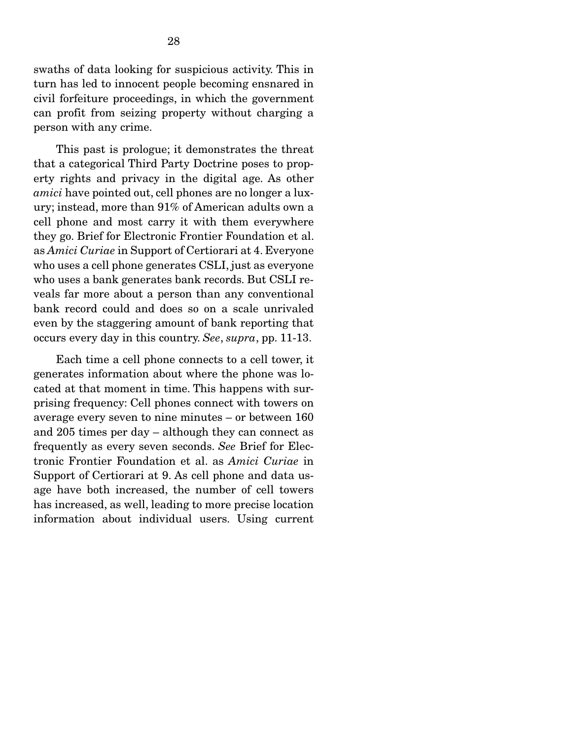swaths of data looking for suspicious activity. This in turn has led to innocent people becoming ensnared in civil forfeiture proceedings, in which the government can profit from seizing property without charging a person with any crime.

 This past is prologue; it demonstrates the threat that a categorical Third Party Doctrine poses to property rights and privacy in the digital age. As other *amici* have pointed out, cell phones are no longer a luxury; instead, more than 91% of American adults own a cell phone and most carry it with them everywhere they go. Brief for Electronic Frontier Foundation et al. as *Amici Curiae* in Support of Certiorari at 4. Everyone who uses a cell phone generates CSLI, just as everyone who uses a bank generates bank records. But CSLI reveals far more about a person than any conventional bank record could and does so on a scale unrivaled even by the staggering amount of bank reporting that occurs every day in this country. *See*, *supra*, pp. 11-13.

Each time a cell phone connects to a cell tower, it generates information about where the phone was located at that moment in time. This happens with surprising frequency: Cell phones connect with towers on average every seven to nine minutes – or between 160 and 205 times per day – although they can connect as frequently as every seven seconds. *See* Brief for Electronic Frontier Foundation et al. as *Amici Curiae* in Support of Certiorari at 9. As cell phone and data usage have both increased, the number of cell towers has increased, as well, leading to more precise location information about individual users. Using current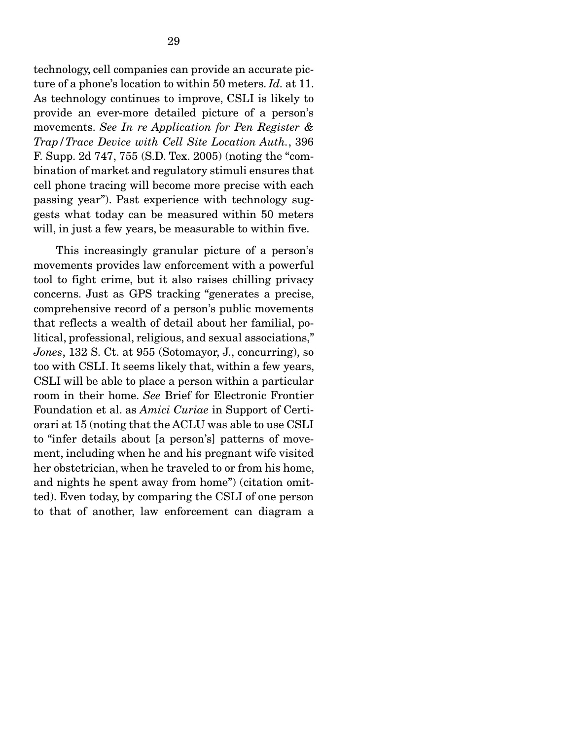technology, cell companies can provide an accurate picture of a phone's location to within 50 meters. *Id.* at 11. As technology continues to improve, CSLI is likely to provide an ever-more detailed picture of a person's movements. *See In re Application for Pen Register & Trap/Trace Device with Cell Site Location Auth.*, 396 F. Supp. 2d 747, 755 (S.D. Tex. 2005) (noting the "combination of market and regulatory stimuli ensures that cell phone tracing will become more precise with each passing year"). Past experience with technology suggests what today can be measured within 50 meters will, in just a few years, be measurable to within five.

 This increasingly granular picture of a person's movements provides law enforcement with a powerful tool to fight crime, but it also raises chilling privacy concerns. Just as GPS tracking "generates a precise, comprehensive record of a person's public movements that reflects a wealth of detail about her familial, political, professional, religious, and sexual associations," *Jones*, 132 S. Ct. at 955 (Sotomayor, J., concurring), so too with CSLI. It seems likely that, within a few years, CSLI will be able to place a person within a particular room in their home. *See* Brief for Electronic Frontier Foundation et al. as *Amici Curiae* in Support of Certiorari at 15 (noting that the ACLU was able to use CSLI to "infer details about [a person's] patterns of movement, including when he and his pregnant wife visited her obstetrician, when he traveled to or from his home, and nights he spent away from home") (citation omitted). Even today, by comparing the CSLI of one person to that of another, law enforcement can diagram a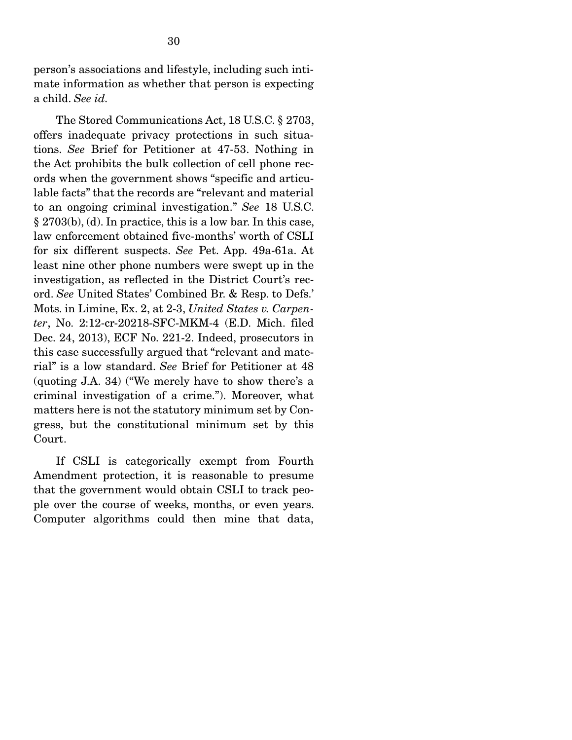person's associations and lifestyle, including such intimate information as whether that person is expecting a child. *See id.* 

The Stored Communications Act, 18 U.S.C. § 2703, offers inadequate privacy protections in such situations. *See* Brief for Petitioner at 47-53. Nothing in the Act prohibits the bulk collection of cell phone records when the government shows "specific and articulable facts" that the records are "relevant and material to an ongoing criminal investigation." *See* 18 U.S.C. § 2703(b), (d). In practice, this is a low bar. In this case, law enforcement obtained five-months' worth of CSLI for six different suspects. *See* Pet. App. 49a-61a. At least nine other phone numbers were swept up in the investigation, as reflected in the District Court's record. *See* United States' Combined Br. & Resp. to Defs.' Mots. in Limine, Ex. 2, at 2-3, *United States v. Carpenter*, No. 2:12-cr-20218-SFC-MKM-4 (E.D. Mich. filed Dec. 24, 2013), ECF No. 221-2. Indeed, prosecutors in this case successfully argued that "relevant and material" is a low standard. *See* Brief for Petitioner at 48 (quoting J.A. 34) ("We merely have to show there's a criminal investigation of a crime."). Moreover, what matters here is not the statutory minimum set by Congress, but the constitutional minimum set by this Court.

 If CSLI is categorically exempt from Fourth Amendment protection, it is reasonable to presume that the government would obtain CSLI to track people over the course of weeks, months, or even years. Computer algorithms could then mine that data,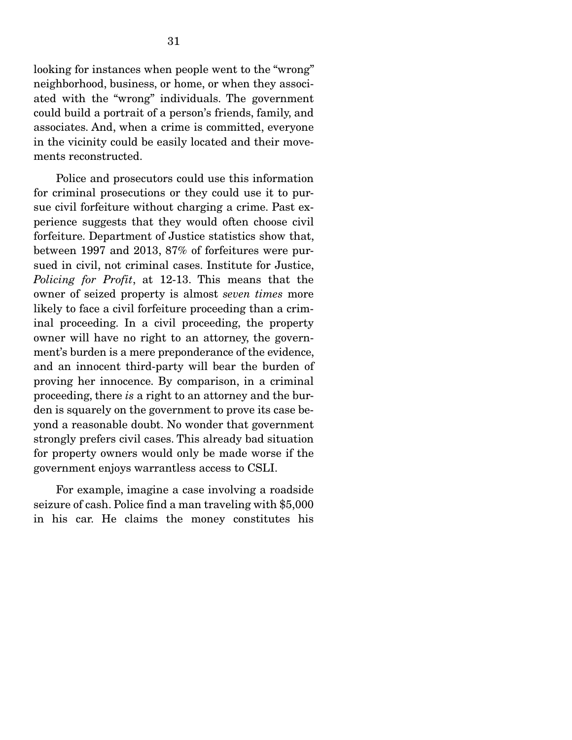looking for instances when people went to the "wrong" neighborhood, business, or home, or when they associated with the "wrong" individuals. The government could build a portrait of a person's friends, family, and associates. And, when a crime is committed, everyone in the vicinity could be easily located and their movements reconstructed.

 Police and prosecutors could use this information for criminal prosecutions or they could use it to pursue civil forfeiture without charging a crime. Past experience suggests that they would often choose civil forfeiture. Department of Justice statistics show that, between 1997 and 2013, 87% of forfeitures were pursued in civil, not criminal cases. Institute for Justice, *Policing for Profit*, at 12-13. This means that the owner of seized property is almost *seven times* more likely to face a civil forfeiture proceeding than a criminal proceeding. In a civil proceeding, the property owner will have no right to an attorney, the government's burden is a mere preponderance of the evidence, and an innocent third-party will bear the burden of proving her innocence. By comparison, in a criminal proceeding, there *is* a right to an attorney and the burden is squarely on the government to prove its case beyond a reasonable doubt. No wonder that government strongly prefers civil cases. This already bad situation for property owners would only be made worse if the government enjoys warrantless access to CSLI.

 For example, imagine a case involving a roadside seizure of cash. Police find a man traveling with \$5,000 in his car. He claims the money constitutes his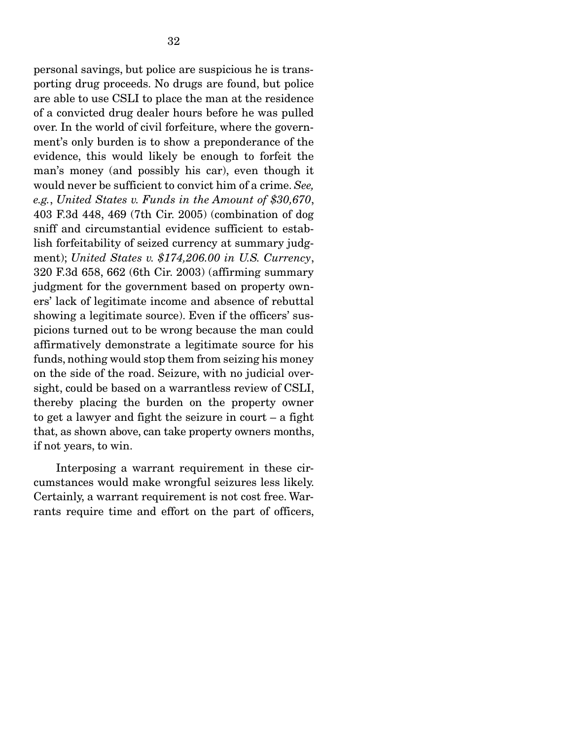personal savings, but police are suspicious he is transporting drug proceeds. No drugs are found, but police are able to use CSLI to place the man at the residence of a convicted drug dealer hours before he was pulled over. In the world of civil forfeiture, where the government's only burden is to show a preponderance of the evidence, this would likely be enough to forfeit the man's money (and possibly his car), even though it would never be sufficient to convict him of a crime. *See, e.g.*, *United States v. Funds in the Amount of \$30,670*, 403 F.3d 448, 469 (7th Cir. 2005) (combination of dog sniff and circumstantial evidence sufficient to establish forfeitability of seized currency at summary judgment); *United States v. \$174,206.00 in U.S. Currency*, 320 F.3d 658, 662 (6th Cir. 2003) (affirming summary judgment for the government based on property owners' lack of legitimate income and absence of rebuttal showing a legitimate source). Even if the officers' suspicions turned out to be wrong because the man could affirmatively demonstrate a legitimate source for his funds, nothing would stop them from seizing his money on the side of the road. Seizure, with no judicial oversight, could be based on a warrantless review of CSLI, thereby placing the burden on the property owner to get a lawyer and fight the seizure in court – a fight that, as shown above, can take property owners months, if not years, to win.

 Interposing a warrant requirement in these circumstances would make wrongful seizures less likely. Certainly, a warrant requirement is not cost free. Warrants require time and effort on the part of officers,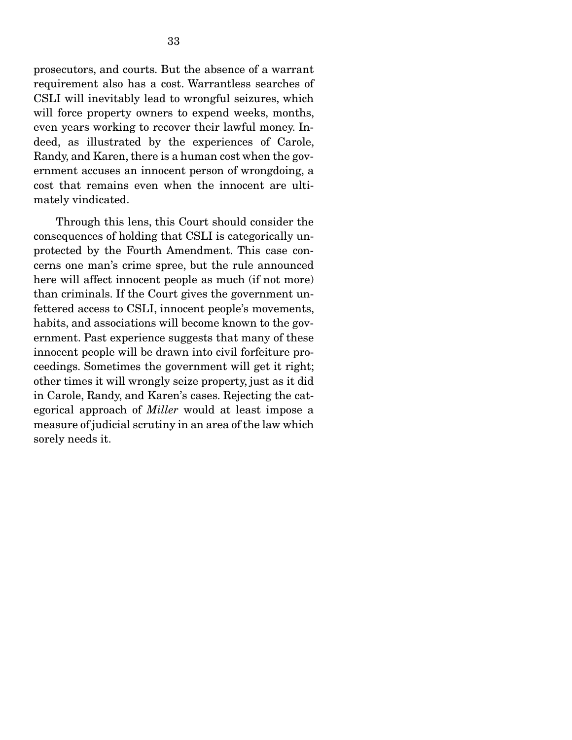prosecutors, and courts. But the absence of a warrant requirement also has a cost. Warrantless searches of CSLI will inevitably lead to wrongful seizures, which will force property owners to expend weeks, months, even years working to recover their lawful money. Indeed, as illustrated by the experiences of Carole, Randy, and Karen, there is a human cost when the government accuses an innocent person of wrongdoing, a cost that remains even when the innocent are ultimately vindicated.

 Through this lens, this Court should consider the consequences of holding that CSLI is categorically unprotected by the Fourth Amendment. This case concerns one man's crime spree, but the rule announced here will affect innocent people as much (if not more) than criminals. If the Court gives the government unfettered access to CSLI, innocent people's movements, habits, and associations will become known to the government. Past experience suggests that many of these innocent people will be drawn into civil forfeiture proceedings. Sometimes the government will get it right; other times it will wrongly seize property, just as it did in Carole, Randy, and Karen's cases. Rejecting the categorical approach of *Miller* would at least impose a measure of judicial scrutiny in an area of the law which sorely needs it.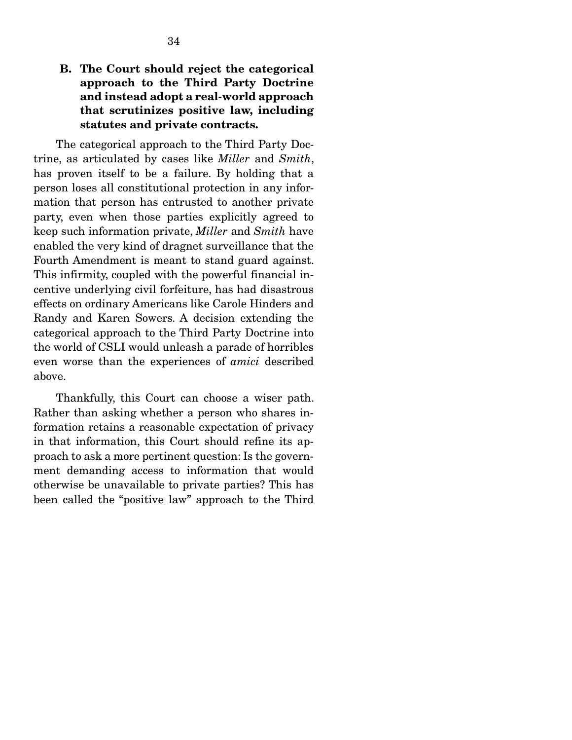#### B. The Court should reject the categorical approach to the Third Party Doctrine and instead adopt a real-world approach that scrutinizes positive law, including statutes and private contracts.

 The categorical approach to the Third Party Doctrine, as articulated by cases like *Miller* and *Smith*, has proven itself to be a failure. By holding that a person loses all constitutional protection in any information that person has entrusted to another private party, even when those parties explicitly agreed to keep such information private, *Miller* and *Smith* have enabled the very kind of dragnet surveillance that the Fourth Amendment is meant to stand guard against. This infirmity, coupled with the powerful financial incentive underlying civil forfeiture, has had disastrous effects on ordinary Americans like Carole Hinders and Randy and Karen Sowers. A decision extending the categorical approach to the Third Party Doctrine into the world of CSLI would unleash a parade of horribles even worse than the experiences of *amici* described above.

 Thankfully, this Court can choose a wiser path. Rather than asking whether a person who shares information retains a reasonable expectation of privacy in that information, this Court should refine its approach to ask a more pertinent question: Is the government demanding access to information that would otherwise be unavailable to private parties? This has been called the "positive law" approach to the Third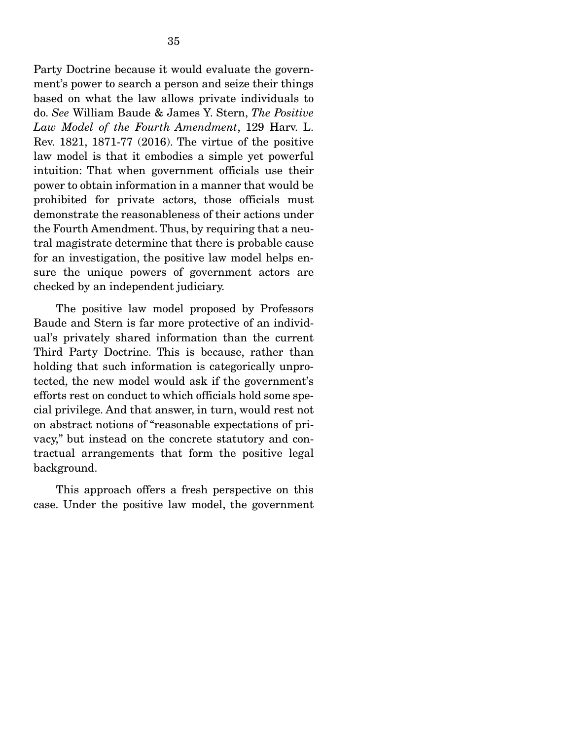Party Doctrine because it would evaluate the government's power to search a person and seize their things based on what the law allows private individuals to do. *See* William Baude & James Y. Stern, *The Positive Law Model of the Fourth Amendment*, 129 Harv. L. Rev. 1821, 1871-77 (2016). The virtue of the positive law model is that it embodies a simple yet powerful intuition: That when government officials use their power to obtain information in a manner that would be prohibited for private actors, those officials must demonstrate the reasonableness of their actions under the Fourth Amendment. Thus, by requiring that a neutral magistrate determine that there is probable cause for an investigation, the positive law model helps ensure the unique powers of government actors are checked by an independent judiciary.

 The positive law model proposed by Professors Baude and Stern is far more protective of an individual's privately shared information than the current Third Party Doctrine. This is because, rather than holding that such information is categorically unprotected, the new model would ask if the government's efforts rest on conduct to which officials hold some special privilege. And that answer, in turn, would rest not on abstract notions of "reasonable expectations of privacy," but instead on the concrete statutory and contractual arrangements that form the positive legal background.

 This approach offers a fresh perspective on this case. Under the positive law model, the government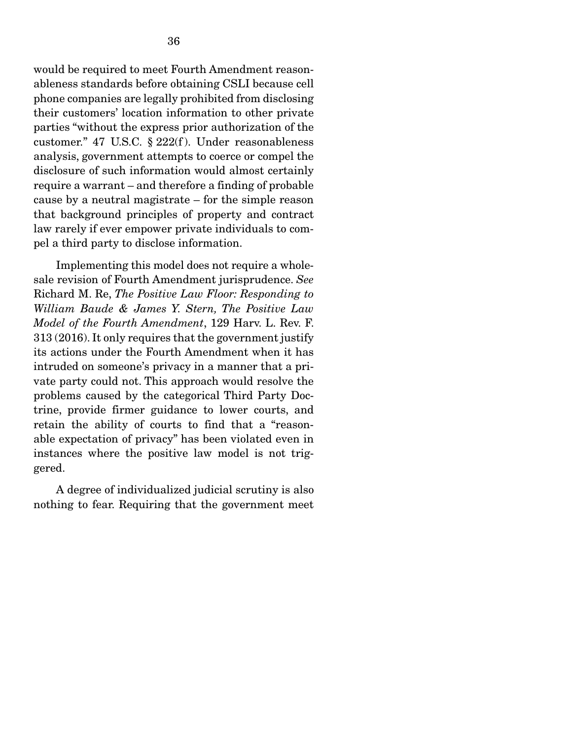would be required to meet Fourth Amendment reasonableness standards before obtaining CSLI because cell phone companies are legally prohibited from disclosing their customers' location information to other private parties "without the express prior authorization of the customer." 47 U.S.C. § 222(f ). Under reasonableness analysis, government attempts to coerce or compel the disclosure of such information would almost certainly require a warrant – and therefore a finding of probable cause by a neutral magistrate – for the simple reason that background principles of property and contract law rarely if ever empower private individuals to compel a third party to disclose information.

 Implementing this model does not require a wholesale revision of Fourth Amendment jurisprudence. *See*  Richard M. Re, *The Positive Law Floor: Responding to William Baude & James Y. Stern, The Positive Law Model of the Fourth Amendment*, 129 Harv. L. Rev. F. 313 (2016). It only requires that the government justify its actions under the Fourth Amendment when it has intruded on someone's privacy in a manner that a private party could not. This approach would resolve the problems caused by the categorical Third Party Doctrine, provide firmer guidance to lower courts, and retain the ability of courts to find that a "reasonable expectation of privacy" has been violated even in instances where the positive law model is not triggered.

 A degree of individualized judicial scrutiny is also nothing to fear. Requiring that the government meet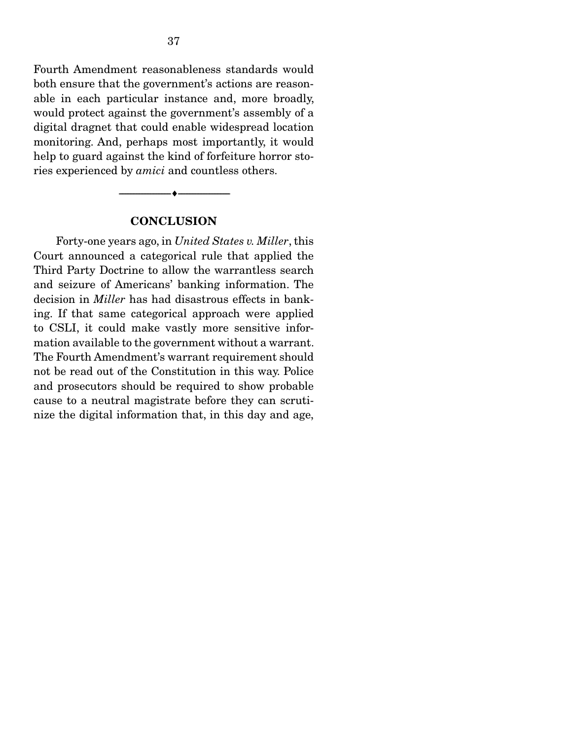Fourth Amendment reasonableness standards would both ensure that the government's actions are reasonable in each particular instance and, more broadly, would protect against the government's assembly of a digital dragnet that could enable widespread location monitoring. And, perhaps most importantly, it would help to guard against the kind of forfeiture horror stories experienced by *amici* and countless others.

#### **CONCLUSION**

--------------------------------- ---------------------------------

 Forty-one years ago, in *United States v. Miller*, this Court announced a categorical rule that applied the Third Party Doctrine to allow the warrantless search and seizure of Americans' banking information. The decision in *Miller* has had disastrous effects in banking. If that same categorical approach were applied to CSLI, it could make vastly more sensitive information available to the government without a warrant. The Fourth Amendment's warrant requirement should not be read out of the Constitution in this way. Police and prosecutors should be required to show probable cause to a neutral magistrate before they can scrutinize the digital information that, in this day and age,